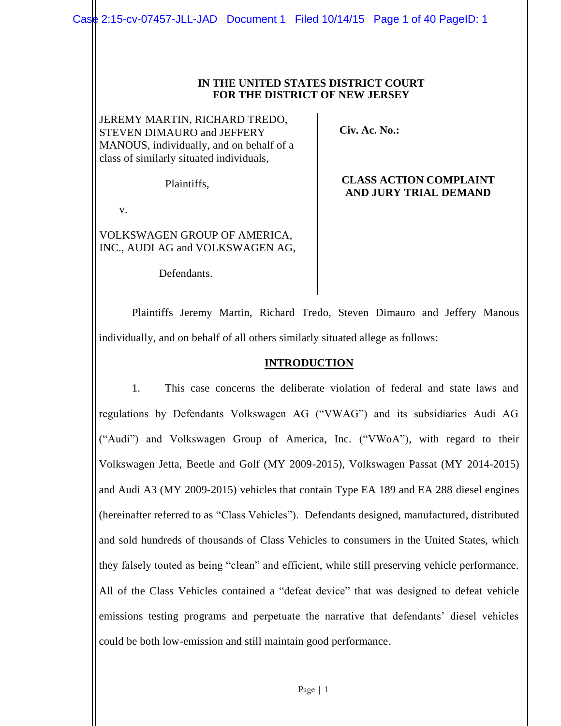### **IN THE UNITED STATES DISTRICT COURT FOR THE DISTRICT OF NEW JERSEY**

JEREMY MARTIN, RICHARD TREDO, STEVEN DIMAURO and JEFFERY MANOUS, individually, and on behalf of a class of similarly situated individuals,

Plaintiffs,

 **Civ. Ac. No.:** 

## **CLASS ACTION COMPLAINT AND JURY TRIAL DEMAND**

v.

VOLKSWAGEN GROUP OF AMERICA, INC., AUDI AG and VOLKSWAGEN AG,

Defendants.

Plaintiffs Jeremy Martin, Richard Tredo, Steven Dimauro and Jeffery Manous individually, and on behalf of all others similarly situated allege as follows:

# **INTRODUCTION**

1. This case concerns the deliberate violation of federal and state laws and regulations by Defendants Volkswagen AG ("VWAG") and its subsidiaries Audi AG ("Audi") and Volkswagen Group of America, Inc. ("VWoA"), with regard to their Volkswagen Jetta, Beetle and Golf (MY 2009-2015), Volkswagen Passat (MY 2014-2015) and Audi A3 (MY 2009-2015) vehicles that contain Type EA 189 and EA 288 diesel engines (hereinafter referred to as "Class Vehicles"). Defendants designed, manufactured, distributed and sold hundreds of thousands of Class Vehicles to consumers in the United States, which they falsely touted as being "clean" and efficient, while still preserving vehicle performance. All of the Class Vehicles contained a "defeat device" that was designed to defeat vehicle emissions testing programs and perpetuate the narrative that defendants' diesel vehicles could be both low-emission and still maintain good performance.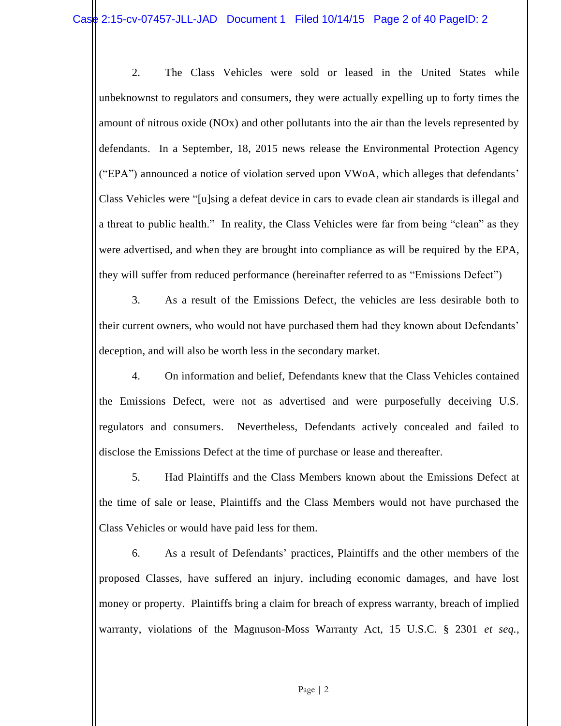2. The Class Vehicles were sold or leased in the United States while unbeknownst to regulators and consumers, they were actually expelling up to forty times the amount of nitrous oxide (NOx) and other pollutants into the air than the levels represented by defendants. In a September, 18, 2015 news release the Environmental Protection Agency ("EPA") announced a notice of violation served upon VWoA, which alleges that defendants' Class Vehicles were "[u]sing a defeat device in cars to evade clean air standards is illegal and a threat to public health." In reality, the Class Vehicles were far from being "clean" as they were advertised, and when they are brought into compliance as will be required by the EPA, they will suffer from reduced performance (hereinafter referred to as "Emissions Defect")

3. As a result of the Emissions Defect, the vehicles are less desirable both to their current owners, who would not have purchased them had they known about Defendants' deception, and will also be worth less in the secondary market.

4. On information and belief, Defendants knew that the Class Vehicles contained the Emissions Defect, were not as advertised and were purposefully deceiving U.S. regulators and consumers. Nevertheless, Defendants actively concealed and failed to disclose the Emissions Defect at the time of purchase or lease and thereafter.

5. Had Plaintiffs and the Class Members known about the Emissions Defect at the time of sale or lease, Plaintiffs and the Class Members would not have purchased the Class Vehicles or would have paid less for them.

6. As a result of Defendants' practices, Plaintiffs and the other members of the proposed Classes, have suffered an injury, including economic damages, and have lost money or property. Plaintiffs bring a claim for breach of express warranty, breach of implied warranty, violations of the Magnuson-Moss Warranty Act, 15 U.S.C. § 2301 *et seq.*,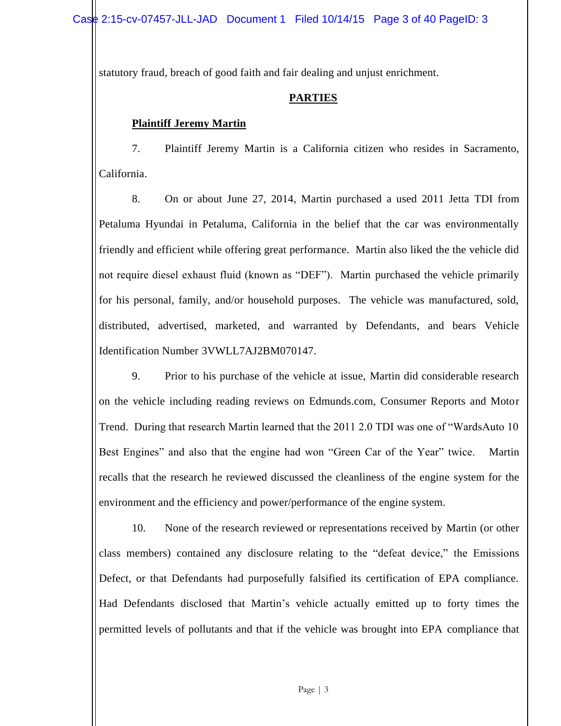statutory fraud, breach of good faith and fair dealing and unjust enrichment.

# **PARTIES**

# **Plaintiff Jeremy Martin**

7. Plaintiff Jeremy Martin is a California citizen who resides in Sacramento, California.

8. On or about June 27, 2014, Martin purchased a used 2011 Jetta TDI from Petaluma Hyundai in Petaluma, California in the belief that the car was environmentally friendly and efficient while offering great performance. Martin also liked the the vehicle did not require diesel exhaust fluid (known as "DEF"). Martin purchased the vehicle primarily for his personal, family, and/or household purposes. The vehicle was manufactured, sold, distributed, advertised, marketed, and warranted by Defendants, and bears Vehicle Identification Number 3VWLL7AJ2BM070147.

9. Prior to his purchase of the vehicle at issue, Martin did considerable research on the vehicle including reading reviews on Edmunds.com, Consumer Reports and Motor Trend. During that research Martin learned that the 2011 2.0 TDI was one of "WardsAuto 10 Best Engines" and also that the engine had won "Green Car of the Year" twice. Martin recalls that the research he reviewed discussed the cleanliness of the engine system for the environment and the efficiency and power/performance of the engine system.

10. None of the research reviewed or representations received by Martin (or other class members) contained any disclosure relating to the "defeat device," the Emissions Defect, or that Defendants had purposefully falsified its certification of EPA compliance. Had Defendants disclosed that Martin's vehicle actually emitted up to forty times the permitted levels of pollutants and that if the vehicle was brought into EPA compliance that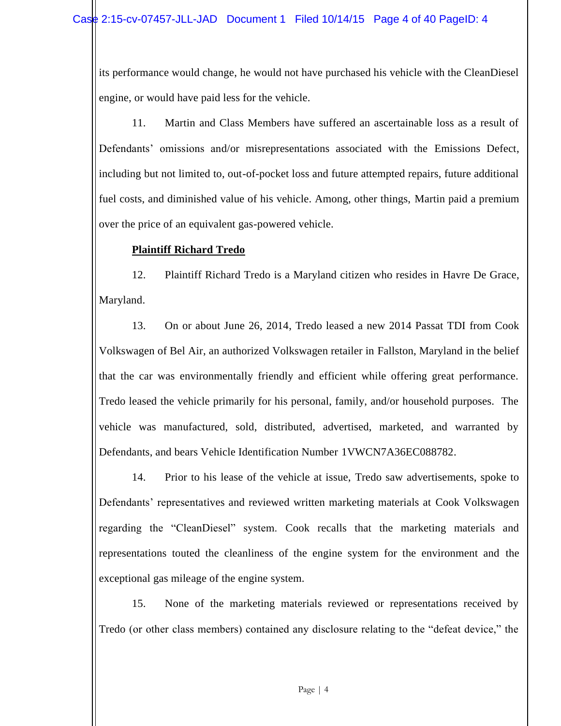its performance would change, he would not have purchased his vehicle with the CleanDiesel engine, or would have paid less for the vehicle.

11. Martin and Class Members have suffered an ascertainable loss as a result of Defendants' omissions and/or misrepresentations associated with the Emissions Defect, including but not limited to, out-of-pocket loss and future attempted repairs, future additional fuel costs, and diminished value of his vehicle. Among, other things, Martin paid a premium over the price of an equivalent gas-powered vehicle.

# **Plaintiff Richard Tredo**

12. Plaintiff Richard Tredo is a Maryland citizen who resides in Havre De Grace, Maryland.

13. On or about June 26, 2014, Tredo leased a new 2014 Passat TDI from Cook Volkswagen of Bel Air, an authorized Volkswagen retailer in Fallston, Maryland in the belief that the car was environmentally friendly and efficient while offering great performance. Tredo leased the vehicle primarily for his personal, family, and/or household purposes. The vehicle was manufactured, sold, distributed, advertised, marketed, and warranted by Defendants, and bears Vehicle Identification Number 1VWCN7A36EC088782.

14. Prior to his lease of the vehicle at issue, Tredo saw advertisements, spoke to Defendants' representatives and reviewed written marketing materials at Cook Volkswagen regarding the "CleanDiesel" system. Cook recalls that the marketing materials and representations touted the cleanliness of the engine system for the environment and the exceptional gas mileage of the engine system.

15. None of the marketing materials reviewed or representations received by Tredo (or other class members) contained any disclosure relating to the "defeat device," the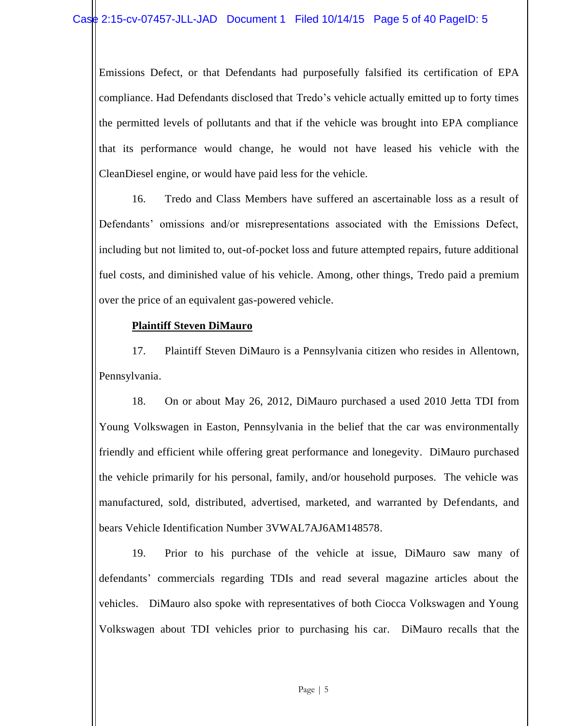Emissions Defect, or that Defendants had purposefully falsified its certification of EPA compliance. Had Defendants disclosed that Tredo's vehicle actually emitted up to forty times the permitted levels of pollutants and that if the vehicle was brought into EPA compliance that its performance would change, he would not have leased his vehicle with the CleanDiesel engine, or would have paid less for the vehicle.

16. Tredo and Class Members have suffered an ascertainable loss as a result of Defendants' omissions and/or misrepresentations associated with the Emissions Defect, including but not limited to, out-of-pocket loss and future attempted repairs, future additional fuel costs, and diminished value of his vehicle. Among, other things, Tredo paid a premium over the price of an equivalent gas-powered vehicle.

# **Plaintiff Steven DiMauro**

17. Plaintiff Steven DiMauro is a Pennsylvania citizen who resides in Allentown, Pennsylvania.

18. On or about May 26, 2012, DiMauro purchased a used 2010 Jetta TDI from Young Volkswagen in Easton, Pennsylvania in the belief that the car was environmentally friendly and efficient while offering great performance and lonegevity. DiMauro purchased the vehicle primarily for his personal, family, and/or household purposes. The vehicle was manufactured, sold, distributed, advertised, marketed, and warranted by Defendants, and bears Vehicle Identification Number 3VWAL7AJ6AM148578.

19. Prior to his purchase of the vehicle at issue, DiMauro saw many of defendants' commercials regarding TDIs and read several magazine articles about the vehicles. DiMauro also spoke with representatives of both Ciocca Volkswagen and Young Volkswagen about TDI vehicles prior to purchasing his car. DiMauro recalls that the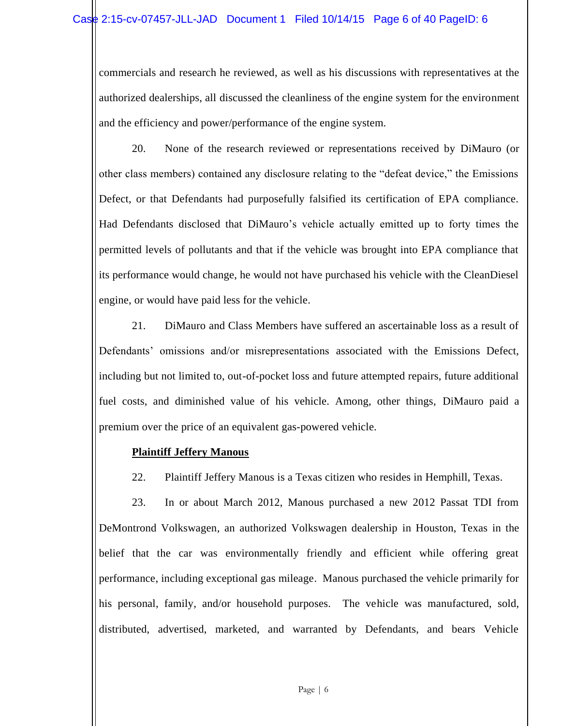commercials and research he reviewed, as well as his discussions with representatives at the authorized dealerships, all discussed the cleanliness of the engine system for the environment and the efficiency and power/performance of the engine system.

20. None of the research reviewed or representations received by DiMauro (or other class members) contained any disclosure relating to the "defeat device," the Emissions Defect, or that Defendants had purposefully falsified its certification of EPA compliance. Had Defendants disclosed that DiMauro's vehicle actually emitted up to forty times the permitted levels of pollutants and that if the vehicle was brought into EPA compliance that its performance would change, he would not have purchased his vehicle with the CleanDiesel engine, or would have paid less for the vehicle.

21. DiMauro and Class Members have suffered an ascertainable loss as a result of Defendants' omissions and/or misrepresentations associated with the Emissions Defect, including but not limited to, out-of-pocket loss and future attempted repairs, future additional fuel costs, and diminished value of his vehicle. Among, other things, DiMauro paid a premium over the price of an equivalent gas-powered vehicle.

# **Plaintiff Jeffery Manous**

22. Plaintiff Jeffery Manous is a Texas citizen who resides in Hemphill, Texas.

23. In or about March 2012, Manous purchased a new 2012 Passat TDI from DeMontrond Volkswagen, an authorized Volkswagen dealership in Houston, Texas in the belief that the car was environmentally friendly and efficient while offering great performance, including exceptional gas mileage. Manous purchased the vehicle primarily for his personal, family, and/or household purposes. The vehicle was manufactured, sold, distributed, advertised, marketed, and warranted by Defendants, and bears Vehicle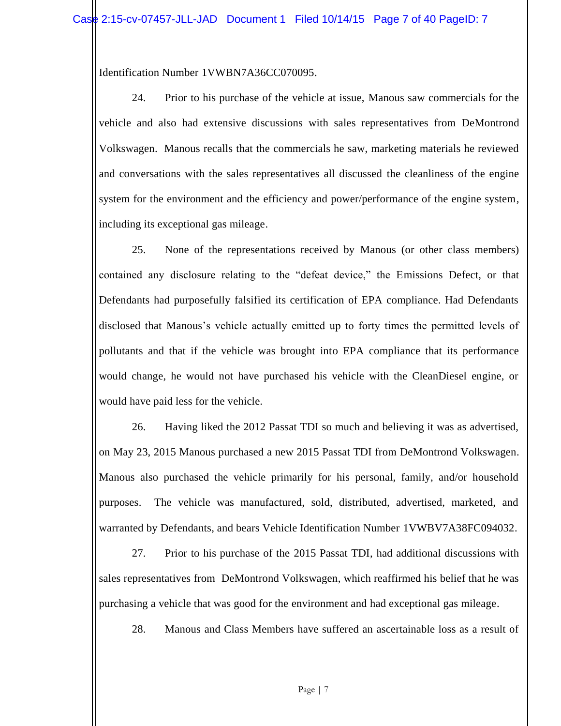Identification Number 1VWBN7A36CC070095.

24. Prior to his purchase of the vehicle at issue, Manous saw commercials for the vehicle and also had extensive discussions with sales representatives from DeMontrond Volkswagen. Manous recalls that the commercials he saw, marketing materials he reviewed and conversations with the sales representatives all discussed the cleanliness of the engine system for the environment and the efficiency and power/performance of the engine system, including its exceptional gas mileage.

25. None of the representations received by Manous (or other class members) contained any disclosure relating to the "defeat device," the Emissions Defect, or that Defendants had purposefully falsified its certification of EPA compliance. Had Defendants disclosed that Manous's vehicle actually emitted up to forty times the permitted levels of pollutants and that if the vehicle was brought into EPA compliance that its performance would change, he would not have purchased his vehicle with the CleanDiesel engine, or would have paid less for the vehicle.

26. Having liked the 2012 Passat TDI so much and believing it was as advertised, on May 23, 2015 Manous purchased a new 2015 Passat TDI from DeMontrond Volkswagen. Manous also purchased the vehicle primarily for his personal, family, and/or household purposes. The vehicle was manufactured, sold, distributed, advertised, marketed, and warranted by Defendants, and bears Vehicle Identification Number 1VWBV7A38FC094032.

27. Prior to his purchase of the 2015 Passat TDI, had additional discussions with sales representatives from DeMontrond Volkswagen, which reaffirmed his belief that he was purchasing a vehicle that was good for the environment and had exceptional gas mileage.

28. Manous and Class Members have suffered an ascertainable loss as a result of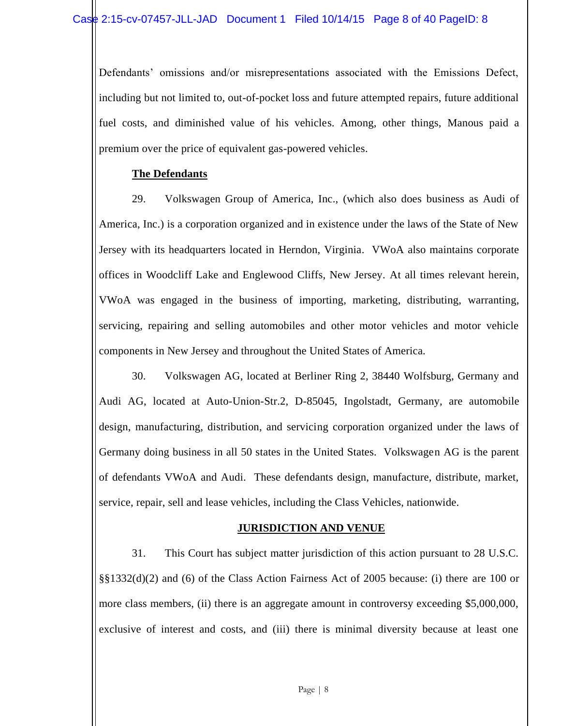Defendants' omissions and/or misrepresentations associated with the Emissions Defect, including but not limited to, out-of-pocket loss and future attempted repairs, future additional fuel costs, and diminished value of his vehicles. Among, other things, Manous paid a premium over the price of equivalent gas-powered vehicles.

# **The Defendants**

29. Volkswagen Group of America, Inc., (which also does business as Audi of America, Inc.) is a corporation organized and in existence under the laws of the State of New Jersey with its headquarters located in Herndon, Virginia. VWoA also maintains corporate offices in Woodcliff Lake and Englewood Cliffs, New Jersey. At all times relevant herein, VWoA was engaged in the business of importing, marketing, distributing, warranting, servicing, repairing and selling automobiles and other motor vehicles and motor vehicle components in New Jersey and throughout the United States of America.

30. Volkswagen AG, located at Berliner Ring 2, 38440 Wolfsburg, Germany and Audi AG, located at Auto-Union-Str.2, D-85045, Ingolstadt, Germany, are automobile design, manufacturing, distribution, and servicing corporation organized under the laws of Germany doing business in all 50 states in the United States. Volkswagen AG is the parent of defendants VWoA and Audi. These defendants design, manufacture, distribute, market, service, repair, sell and lease vehicles, including the Class Vehicles, nationwide.

## **JURISDICTION AND VENUE**

31. This Court has subject matter jurisdiction of this action pursuant to 28 U.S.C. §§1332(d)(2) and (6) of the Class Action Fairness Act of 2005 because: (i) there are 100 or more class members, (ii) there is an aggregate amount in controversy exceeding \$5,000,000, exclusive of interest and costs, and (iii) there is minimal diversity because at least one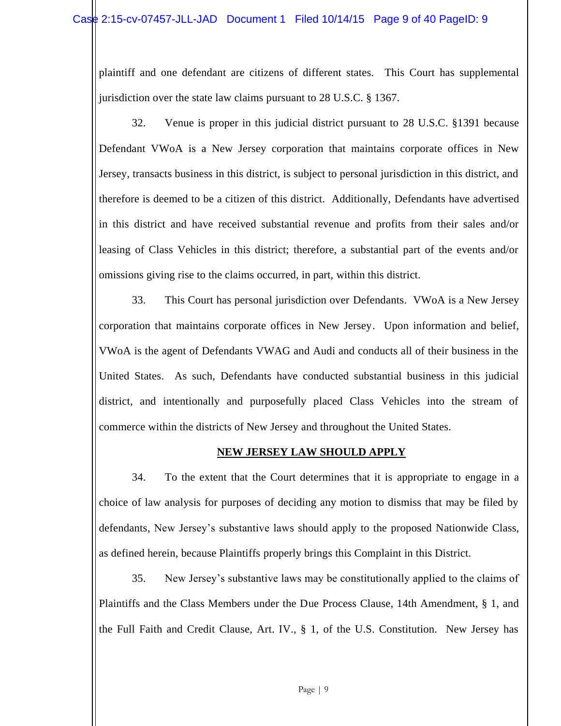plaintiff and one defendant are citizens of different states. This Court has supplemental jurisdiction over the state law claims pursuant to 28 U.S.C. § 1367.

32. Venue is proper in this judicial district pursuant to 28 U.S.C. §1391 because Defendant VWoA is a New Jersey corporation that maintains corporate offices in New Jersey, transacts business in this district, is subject to personal jurisdiction in this district, and therefore is deemed to be a citizen of this district. Additionally, Defendants have advertised in this district and have received substantial revenue and profits from their sales and/or leasing of Class Vehicles in this district; therefore, a substantial part of the events and/or omissions giving rise to the claims occurred, in part, within this district.

33. This Court has personal jurisdiction over Defendants. VWoA is a New Jersey corporation that maintains corporate offices in New Jersey. Upon information and belief, VWoA is the agent of Defendants VWAG and Audi and conducts all of their business in the United States. As such, Defendants have conducted substantial business in this judicial district, and intentionally and purposefully placed Class Vehicles into the stream of commerce within the districts of New Jersey and throughout the United States.

# **NEW JERSEY LAW SHOULD APPLY**

34. To the extent that the Court determines that it is appropriate to engage in a choice of law analysis for purposes of deciding any motion to dismiss that may be filed by defendants, New Jersey's substantive laws should apply to the proposed Nationwide Class, as defined herein, because Plaintiffs properly brings this Complaint in this District.

35. New Jersey's substantive laws may be constitutionally applied to the claims of Plaintiffs and the Class Members under the Due Process Clause, 14th Amendment, § 1, and the Full Faith and Credit Clause, Art. IV., § 1, of the U.S. Constitution. New Jersey has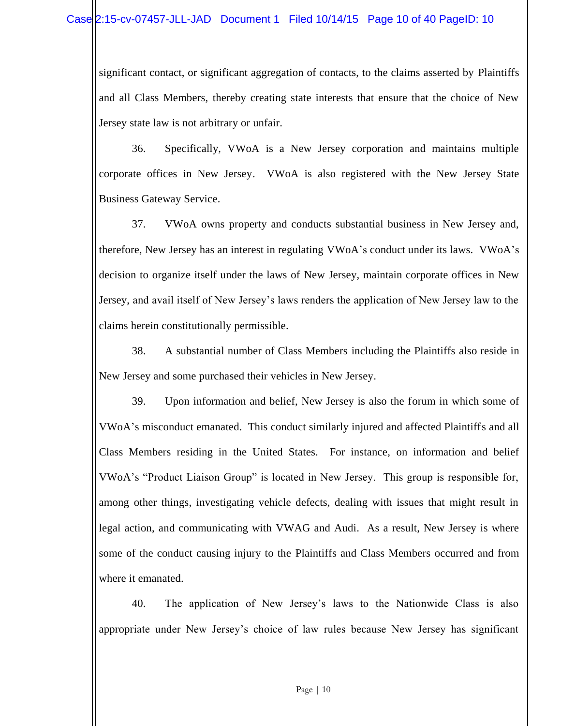significant contact, or significant aggregation of contacts, to the claims asserted by Plaintiffs and all Class Members, thereby creating state interests that ensure that the choice of New Jersey state law is not arbitrary or unfair.

36. Specifically, VWoA is a New Jersey corporation and maintains multiple corporate offices in New Jersey. VWoA is also registered with the New Jersey State Business Gateway Service.

37. VWoA owns property and conducts substantial business in New Jersey and, therefore, New Jersey has an interest in regulating VWoA's conduct under its laws. VWoA's decision to organize itself under the laws of New Jersey, maintain corporate offices in New Jersey, and avail itself of New Jersey's laws renders the application of New Jersey law to the claims herein constitutionally permissible.

38. A substantial number of Class Members including the Plaintiffs also reside in New Jersey and some purchased their vehicles in New Jersey.

39. Upon information and belief, New Jersey is also the forum in which some of VWoA's misconduct emanated. This conduct similarly injured and affected Plaintiffs and all Class Members residing in the United States. For instance, on information and belief VWoA's "Product Liaison Group" is located in New Jersey. This group is responsible for, among other things, investigating vehicle defects, dealing with issues that might result in legal action, and communicating with VWAG and Audi. As a result, New Jersey is where some of the conduct causing injury to the Plaintiffs and Class Members occurred and from where it emanated.

40. The application of New Jersey's laws to the Nationwide Class is also appropriate under New Jersey's choice of law rules because New Jersey has significant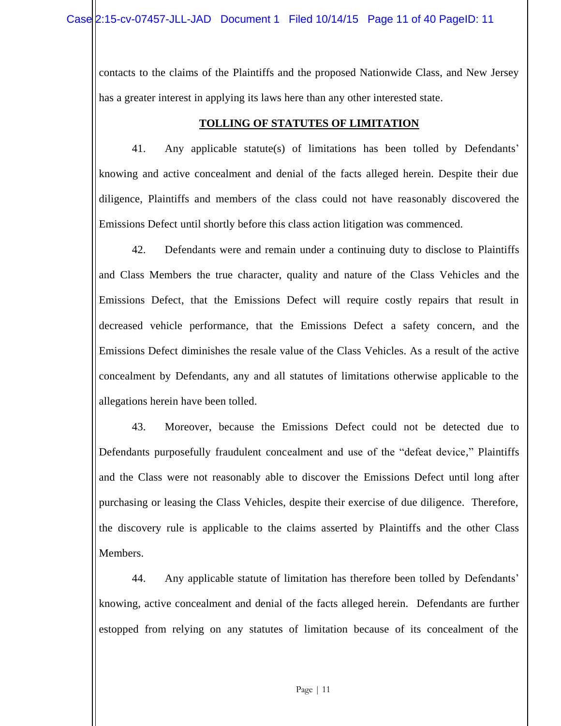contacts to the claims of the Plaintiffs and the proposed Nationwide Class, and New Jersey has a greater interest in applying its laws here than any other interested state.

# **TOLLING OF STATUTES OF LIMITATION**

41. Any applicable statute(s) of limitations has been tolled by Defendants' knowing and active concealment and denial of the facts alleged herein. Despite their due diligence, Plaintiffs and members of the class could not have reasonably discovered the Emissions Defect until shortly before this class action litigation was commenced.

42. Defendants were and remain under a continuing duty to disclose to Plaintiffs and Class Members the true character, quality and nature of the Class Vehicles and the Emissions Defect, that the Emissions Defect will require costly repairs that result in decreased vehicle performance, that the Emissions Defect a safety concern, and the Emissions Defect diminishes the resale value of the Class Vehicles. As a result of the active concealment by Defendants, any and all statutes of limitations otherwise applicable to the allegations herein have been tolled.

43. Moreover, because the Emissions Defect could not be detected due to Defendants purposefully fraudulent concealment and use of the "defeat device," Plaintiffs and the Class were not reasonably able to discover the Emissions Defect until long after purchasing or leasing the Class Vehicles, despite their exercise of due diligence. Therefore, the discovery rule is applicable to the claims asserted by Plaintiffs and the other Class Members.

44. Any applicable statute of limitation has therefore been tolled by Defendants' knowing, active concealment and denial of the facts alleged herein. Defendants are further estopped from relying on any statutes of limitation because of its concealment of the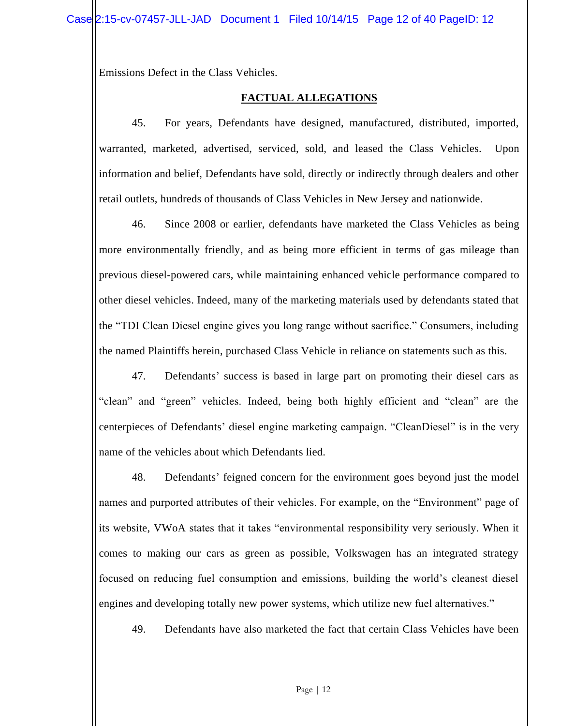Emissions Defect in the Class Vehicles.

# **FACTUAL ALLEGATIONS**

45. For years, Defendants have designed, manufactured, distributed, imported, warranted, marketed, advertised, serviced, sold, and leased the Class Vehicles. Upon information and belief, Defendants have sold, directly or indirectly through dealers and other retail outlets, hundreds of thousands of Class Vehicles in New Jersey and nationwide.

46. Since 2008 or earlier, defendants have marketed the Class Vehicles as being more environmentally friendly, and as being more efficient in terms of gas mileage than previous diesel-powered cars, while maintaining enhanced vehicle performance compared to other diesel vehicles. Indeed, many of the marketing materials used by defendants stated that the "TDI Clean Diesel engine gives you long range without sacrifice." Consumers, including the named Plaintiffs herein, purchased Class Vehicle in reliance on statements such as this.

47. Defendants' success is based in large part on promoting their diesel cars as "clean" and "green" vehicles. Indeed, being both highly efficient and "clean" are the centerpieces of Defendants' diesel engine marketing campaign. "CleanDiesel" is in the very name of the vehicles about which Defendants lied.

48. Defendants' feigned concern for the environment goes beyond just the model names and purported attributes of their vehicles. For example, on the "Environment" page of its website, VWoA states that it takes "environmental responsibility very seriously. When it comes to making our cars as green as possible, Volkswagen has an integrated strategy focused on reducing fuel consumption and emissions, building the world's cleanest diesel engines and developing totally new power systems, which utilize new fuel alternatives."

49. Defendants have also marketed the fact that certain Class Vehicles have been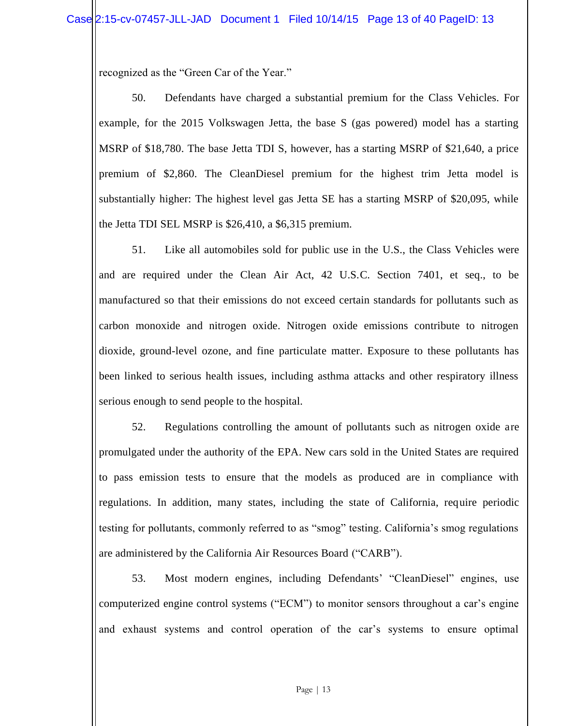recognized as the "Green Car of the Year."

50. Defendants have charged a substantial premium for the Class Vehicles. For example, for the 2015 Volkswagen Jetta, the base S (gas powered) model has a starting MSRP of \$18,780. The base Jetta TDI S, however, has a starting MSRP of \$21,640, a price premium of \$2,860. The CleanDiesel premium for the highest trim Jetta model is substantially higher: The highest level gas Jetta SE has a starting MSRP of \$20,095, while the Jetta TDI SEL MSRP is \$26,410, a \$6,315 premium.

51. Like all automobiles sold for public use in the U.S., the Class Vehicles were and are required under the Clean Air Act, 42 U.S.C. Section 7401, et seq., to be manufactured so that their emissions do not exceed certain standards for pollutants such as carbon monoxide and nitrogen oxide. Nitrogen oxide emissions contribute to nitrogen dioxide, ground-level ozone, and fine particulate matter. Exposure to these pollutants has been linked to serious health issues, including asthma attacks and other respiratory illness serious enough to send people to the hospital.

52. Regulations controlling the amount of pollutants such as nitrogen oxide are promulgated under the authority of the EPA. New cars sold in the United States are required to pass emission tests to ensure that the models as produced are in compliance with regulations. In addition, many states, including the state of California, require periodic testing for pollutants, commonly referred to as "smog" testing. California's smog regulations are administered by the California Air Resources Board ("CARB").

53. Most modern engines, including Defendants' "CleanDiesel" engines, use computerized engine control systems ("ECM") to monitor sensors throughout a car's engine and exhaust systems and control operation of the car's systems to ensure optimal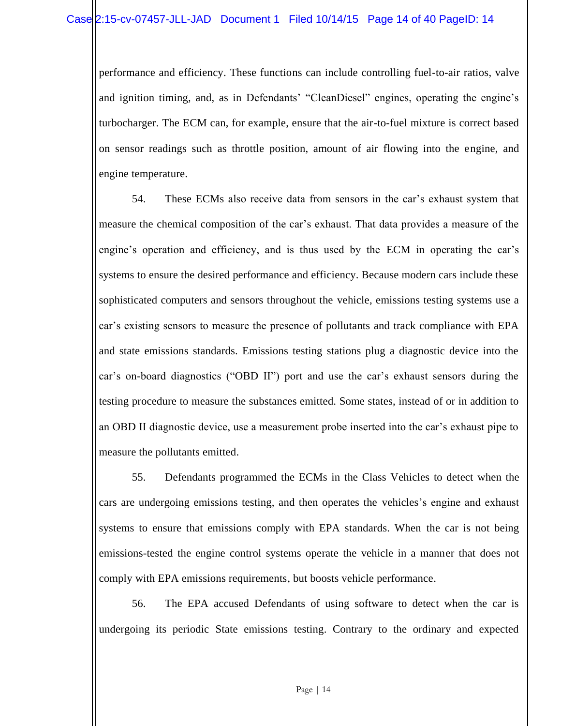performance and efficiency. These functions can include controlling fuel-to-air ratios, valve and ignition timing, and, as in Defendants' "CleanDiesel" engines, operating the engine's turbocharger. The ECM can, for example, ensure that the air-to-fuel mixture is correct based on sensor readings such as throttle position, amount of air flowing into the engine, and engine temperature.

54. These ECMs also receive data from sensors in the car's exhaust system that measure the chemical composition of the car's exhaust. That data provides a measure of the engine's operation and efficiency, and is thus used by the ECM in operating the car's systems to ensure the desired performance and efficiency. Because modern cars include these sophisticated computers and sensors throughout the vehicle, emissions testing systems use a car's existing sensors to measure the presence of pollutants and track compliance with EPA and state emissions standards. Emissions testing stations plug a diagnostic device into the car's on-board diagnostics ("OBD II") port and use the car's exhaust sensors during the testing procedure to measure the substances emitted. Some states, instead of or in addition to an OBD II diagnostic device, use a measurement probe inserted into the car's exhaust pipe to measure the pollutants emitted.

55. Defendants programmed the ECMs in the Class Vehicles to detect when the cars are undergoing emissions testing, and then operates the vehicles's engine and exhaust systems to ensure that emissions comply with EPA standards. When the car is not being emissions-tested the engine control systems operate the vehicle in a manner that does not comply with EPA emissions requirements, but boosts vehicle performance.

56. The EPA accused Defendants of using software to detect when the car is undergoing its periodic State emissions testing. Contrary to the ordinary and expected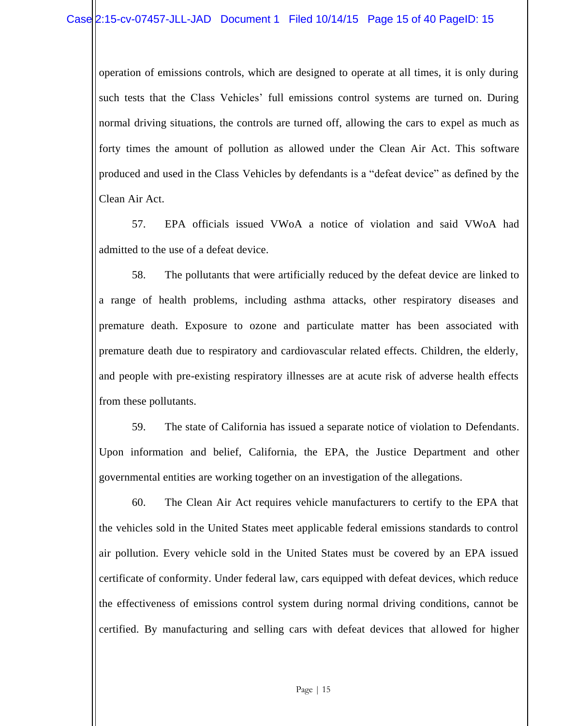operation of emissions controls, which are designed to operate at all times, it is only during such tests that the Class Vehicles' full emissions control systems are turned on. During normal driving situations, the controls are turned off, allowing the cars to expel as much as forty times the amount of pollution as allowed under the Clean Air Act. This software produced and used in the Class Vehicles by defendants is a "defeat device" as defined by the Clean Air Act.

57. EPA officials issued VWoA a notice of violation and said VWoA had admitted to the use of a defeat device.

58. The pollutants that were artificially reduced by the defeat device are linked to a range of health problems, including asthma attacks, other respiratory diseases and premature death. Exposure to ozone and particulate matter has been associated with premature death due to respiratory and cardiovascular related effects. Children, the elderly, and people with pre-existing respiratory illnesses are at acute risk of adverse health effects from these pollutants.

59. The state of California has issued a separate notice of violation to Defendants. Upon information and belief, California, the EPA, the Justice Department and other governmental entities are working together on an investigation of the allegations.

60. The Clean Air Act requires vehicle manufacturers to certify to the EPA that the vehicles sold in the United States meet applicable federal emissions standards to control air pollution. Every vehicle sold in the United States must be covered by an EPA issued certificate of conformity. Under federal law, cars equipped with defeat devices, which reduce the effectiveness of emissions control system during normal driving conditions, cannot be certified. By manufacturing and selling cars with defeat devices that allowed for higher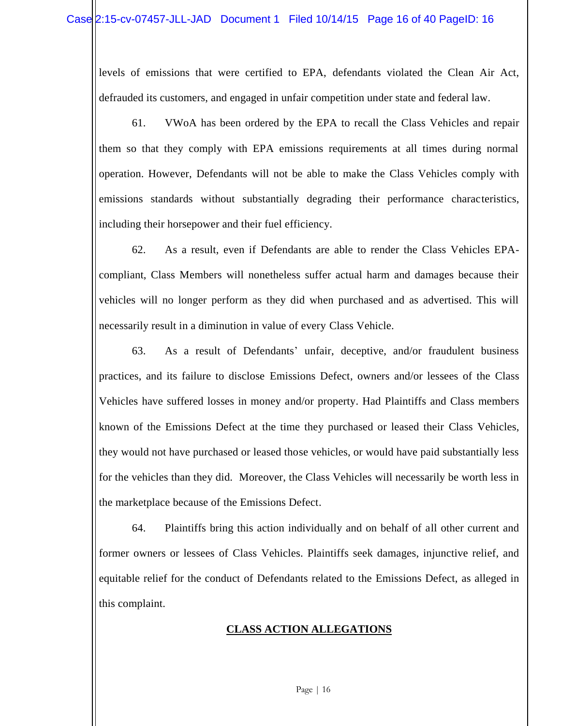levels of emissions that were certified to EPA, defendants violated the Clean Air Act, defrauded its customers, and engaged in unfair competition under state and federal law.

61. VWoA has been ordered by the EPA to recall the Class Vehicles and repair them so that they comply with EPA emissions requirements at all times during normal operation. However, Defendants will not be able to make the Class Vehicles comply with emissions standards without substantially degrading their performance characteristics, including their horsepower and their fuel efficiency.

62. As a result, even if Defendants are able to render the Class Vehicles EPAcompliant, Class Members will nonetheless suffer actual harm and damages because their vehicles will no longer perform as they did when purchased and as advertised. This will necessarily result in a diminution in value of every Class Vehicle.

63. As a result of Defendants' unfair, deceptive, and/or fraudulent business practices, and its failure to disclose Emissions Defect, owners and/or lessees of the Class Vehicles have suffered losses in money and/or property. Had Plaintiffs and Class members known of the Emissions Defect at the time they purchased or leased their Class Vehicles, they would not have purchased or leased those vehicles, or would have paid substantially less for the vehicles than they did. Moreover, the Class Vehicles will necessarily be worth less in the marketplace because of the Emissions Defect.

64. Plaintiffs bring this action individually and on behalf of all other current and former owners or lessees of Class Vehicles. Plaintiffs seek damages, injunctive relief, and equitable relief for the conduct of Defendants related to the Emissions Defect, as alleged in this complaint.

# **CLASS ACTION ALLEGATIONS**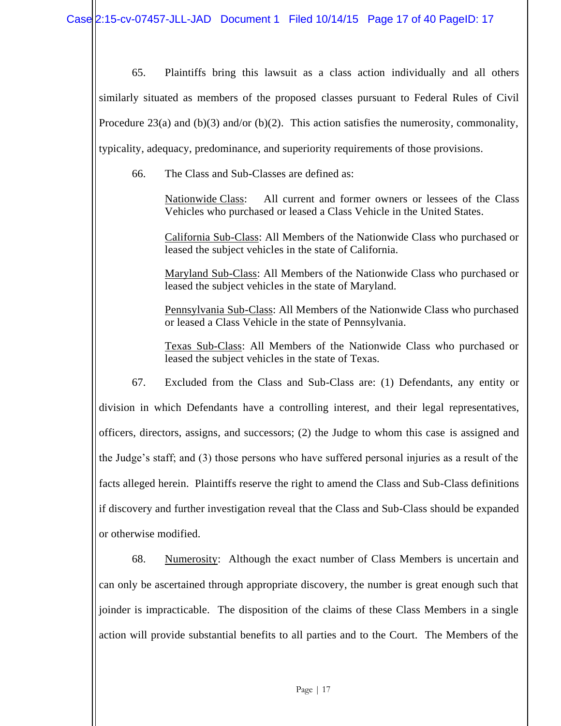65. Plaintiffs bring this lawsuit as a class action individually and all others similarly situated as members of the proposed classes pursuant to Federal Rules of Civil Procedure 23(a) and  $(b)(3)$  and/or  $(b)(2)$ . This action satisfies the numerosity, commonality, typicality, adequacy, predominance, and superiority requirements of those provisions.

66. The Class and Sub-Classes are defined as:

Nationwide Class: All current and former owners or lessees of the Class Vehicles who purchased or leased a Class Vehicle in the United States.

California Sub-Class: All Members of the Nationwide Class who purchased or leased the subject vehicles in the state of California.

Maryland Sub-Class: All Members of the Nationwide Class who purchased or leased the subject vehicles in the state of Maryland.

Pennsylvania Sub-Class: All Members of the Nationwide Class who purchased or leased a Class Vehicle in the state of Pennsylvania.

Texas Sub-Class: All Members of the Nationwide Class who purchased or leased the subject vehicles in the state of Texas.

67. Excluded from the Class and Sub-Class are: (1) Defendants, any entity or division in which Defendants have a controlling interest, and their legal representatives, officers, directors, assigns, and successors; (2) the Judge to whom this case is assigned and the Judge's staff; and (3) those persons who have suffered personal injuries as a result of the facts alleged herein. Plaintiffs reserve the right to amend the Class and Sub-Class definitions if discovery and further investigation reveal that the Class and Sub-Class should be expanded or otherwise modified.

68. Numerosity: Although the exact number of Class Members is uncertain and can only be ascertained through appropriate discovery, the number is great enough such that joinder is impracticable. The disposition of the claims of these Class Members in a single action will provide substantial benefits to all parties and to the Court. The Members of the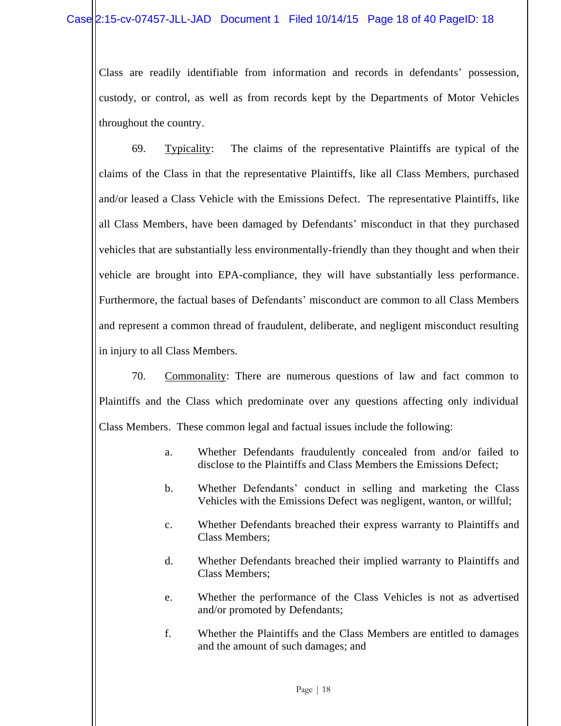Class are readily identifiable from information and records in defendants' possession, custody, or control, as well as from records kept by the Departments of Motor Vehicles throughout the country.

69. Typicality: The claims of the representative Plaintiffs are typical of the claims of the Class in that the representative Plaintiffs, like all Class Members, purchased and/or leased a Class Vehicle with the Emissions Defect. The representative Plaintiffs, like all Class Members, have been damaged by Defendants' misconduct in that they purchased vehicles that are substantially less environmentally-friendly than they thought and when their vehicle are brought into EPA-compliance, they will have substantially less performance. Furthermore, the factual bases of Defendants' misconduct are common to all Class Members and represent a common thread of fraudulent, deliberate, and negligent misconduct resulting in injury to all Class Members.

70. Commonality: There are numerous questions of law and fact common to Plaintiffs and the Class which predominate over any questions affecting only individual Class Members. These common legal and factual issues include the following:

- a. Whether Defendants fraudulently concealed from and/or failed to disclose to the Plaintiffs and Class Members the Emissions Defect;
- b. Whether Defendants' conduct in selling and marketing the Class Vehicles with the Emissions Defect was negligent, wanton, or willful;
- c. Whether Defendants breached their express warranty to Plaintiffs and Class Members;
- d. Whether Defendants breached their implied warranty to Plaintiffs and Class Members;
- e. Whether the performance of the Class Vehicles is not as advertised and/or promoted by Defendants;
- f. Whether the Plaintiffs and the Class Members are entitled to damages and the amount of such damages; and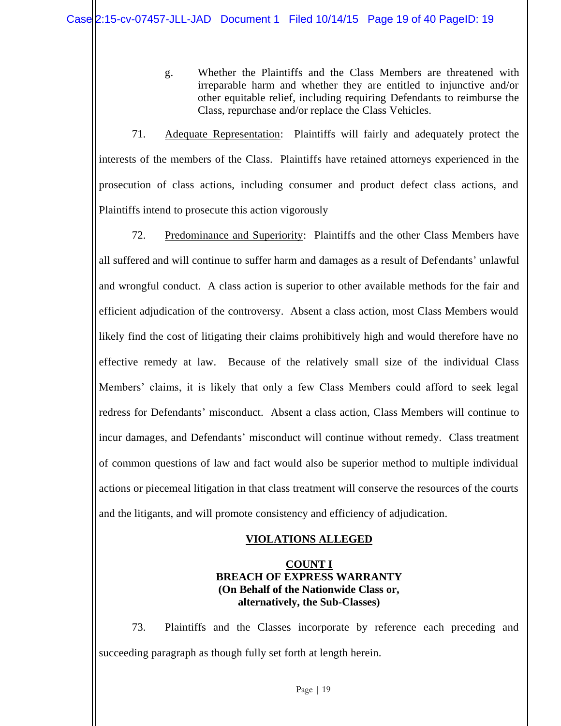g. Whether the Plaintiffs and the Class Members are threatened with irreparable harm and whether they are entitled to injunctive and/or other equitable relief, including requiring Defendants to reimburse the Class, repurchase and/or replace the Class Vehicles.

71. Adequate Representation: Plaintiffs will fairly and adequately protect the interests of the members of the Class. Plaintiffs have retained attorneys experienced in the prosecution of class actions, including consumer and product defect class actions, and Plaintiffs intend to prosecute this action vigorously

72. Predominance and Superiority: Plaintiffs and the other Class Members have all suffered and will continue to suffer harm and damages as a result of Defendants' unlawful and wrongful conduct. A class action is superior to other available methods for the fair and efficient adjudication of the controversy. Absent a class action, most Class Members would likely find the cost of litigating their claims prohibitively high and would therefore have no effective remedy at law. Because of the relatively small size of the individual Class Members' claims, it is likely that only a few Class Members could afford to seek legal redress for Defendants' misconduct. Absent a class action, Class Members will continue to incur damages, and Defendants' misconduct will continue without remedy. Class treatment of common questions of law and fact would also be superior method to multiple individual actions or piecemeal litigation in that class treatment will conserve the resources of the courts and the litigants, and will promote consistency and efficiency of adjudication.

# **VIOLATIONS ALLEGED**

## **COUNT I BREACH OF EXPRESS WARRANTY (On Behalf of the Nationwide Class or, alternatively, the Sub-Classes)**

73. Plaintiffs and the Classes incorporate by reference each preceding and succeeding paragraph as though fully set forth at length herein.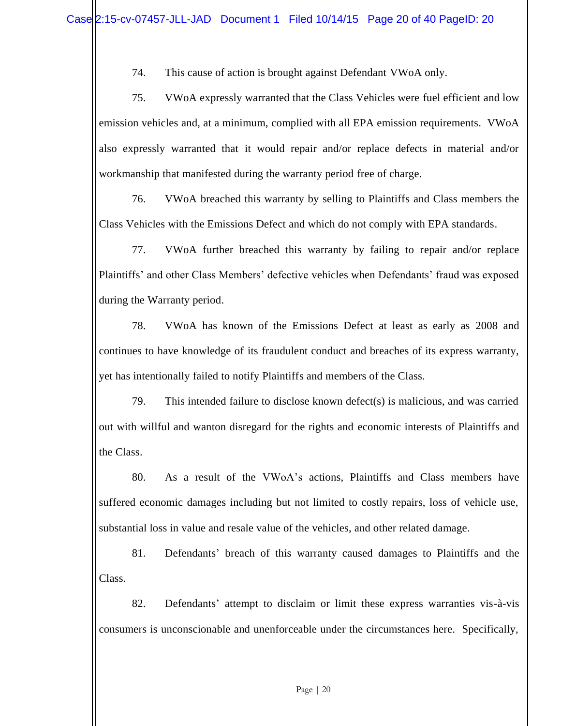74. This cause of action is brought against Defendant VWoA only.

75. VWoA expressly warranted that the Class Vehicles were fuel efficient and low emission vehicles and, at a minimum, complied with all EPA emission requirements. VWoA also expressly warranted that it would repair and/or replace defects in material and/or workmanship that manifested during the warranty period free of charge.

76. VWoA breached this warranty by selling to Plaintiffs and Class members the Class Vehicles with the Emissions Defect and which do not comply with EPA standards.

77. VWoA further breached this warranty by failing to repair and/or replace Plaintiffs' and other Class Members' defective vehicles when Defendants' fraud was exposed during the Warranty period.

78. VWoA has known of the Emissions Defect at least as early as 2008 and continues to have knowledge of its fraudulent conduct and breaches of its express warranty, yet has intentionally failed to notify Plaintiffs and members of the Class.

79. This intended failure to disclose known defect(s) is malicious, and was carried out with willful and wanton disregard for the rights and economic interests of Plaintiffs and the Class.

80. As a result of the VWoA's actions, Plaintiffs and Class members have suffered economic damages including but not limited to costly repairs, loss of vehicle use, substantial loss in value and resale value of the vehicles, and other related damage.

81. Defendants' breach of this warranty caused damages to Plaintiffs and the Class.

82. Defendants' attempt to disclaim or limit these express warranties vis-à-vis consumers is unconscionable and unenforceable under the circumstances here. Specifically,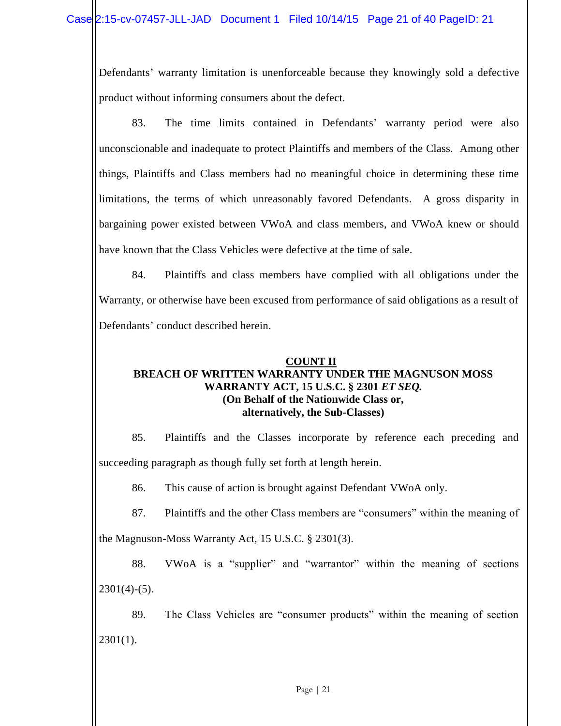Defendants' warranty limitation is unenforceable because they knowingly sold a defective product without informing consumers about the defect.

83. The time limits contained in Defendants' warranty period were also unconscionable and inadequate to protect Plaintiffs and members of the Class. Among other things, Plaintiffs and Class members had no meaningful choice in determining these time limitations, the terms of which unreasonably favored Defendants. A gross disparity in bargaining power existed between VWoA and class members, and VWoA knew or should have known that the Class Vehicles were defective at the time of sale.

84. Plaintiffs and class members have complied with all obligations under the Warranty, or otherwise have been excused from performance of said obligations as a result of Defendants' conduct described herein.

## **COUNT II BREACH OF WRITTEN WARRANTY UNDER THE MAGNUSON MOSS WARRANTY ACT, 15 U.S.C. § 2301** *ET SEQ.* **(On Behalf of the Nationwide Class or, alternatively, the Sub-Classes)**

85. Plaintiffs and the Classes incorporate by reference each preceding and succeeding paragraph as though fully set forth at length herein.

86. This cause of action is brought against Defendant VWoA only.

87. Plaintiffs and the other Class members are "consumers" within the meaning of

the Magnuson-Moss Warranty Act, 15 U.S.C. § 2301(3).

88. VWoA is a "supplier" and "warrantor" within the meaning of sections  $2301(4)-(5)$ .

89. The Class Vehicles are "consumer products" within the meaning of section  $2301(1)$ .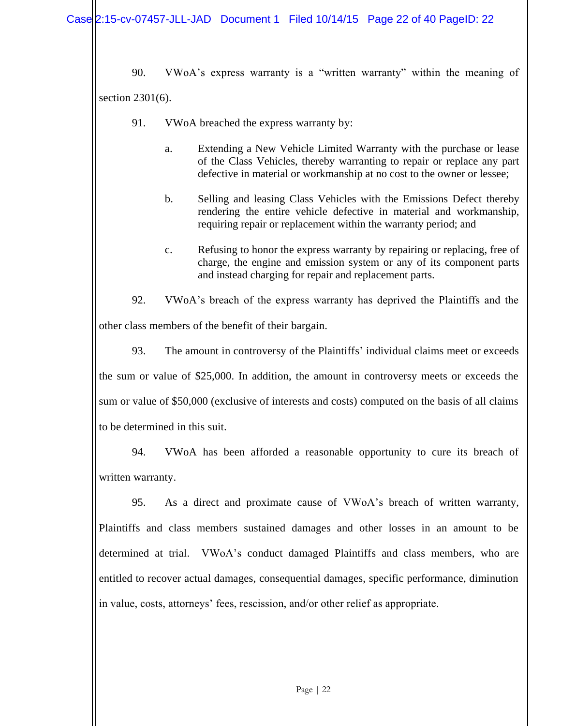90. VWoA's express warranty is a "written warranty" within the meaning of section 2301(6).

- 91. VWoA breached the express warranty by:
	- a. Extending a New Vehicle Limited Warranty with the purchase or lease of the Class Vehicles, thereby warranting to repair or replace any part defective in material or workmanship at no cost to the owner or lessee;
	- b. Selling and leasing Class Vehicles with the Emissions Defect thereby rendering the entire vehicle defective in material and workmanship, requiring repair or replacement within the warranty period; and
	- c. Refusing to honor the express warranty by repairing or replacing, free of charge, the engine and emission system or any of its component parts and instead charging for repair and replacement parts.

92. VWoA's breach of the express warranty has deprived the Plaintiffs and the other class members of the benefit of their bargain.

93. The amount in controversy of the Plaintiffs' individual claims meet or exceeds the sum or value of \$25,000. In addition, the amount in controversy meets or exceeds the sum or value of \$50,000 (exclusive of interests and costs) computed on the basis of all claims to be determined in this suit.

94. VWoA has been afforded a reasonable opportunity to cure its breach of written warranty.

95. As a direct and proximate cause of VWoA's breach of written warranty, Plaintiffs and class members sustained damages and other losses in an amount to be determined at trial. VWoA's conduct damaged Plaintiffs and class members, who are entitled to recover actual damages, consequential damages, specific performance, diminution in value, costs, attorneys' fees, rescission, and/or other relief as appropriate.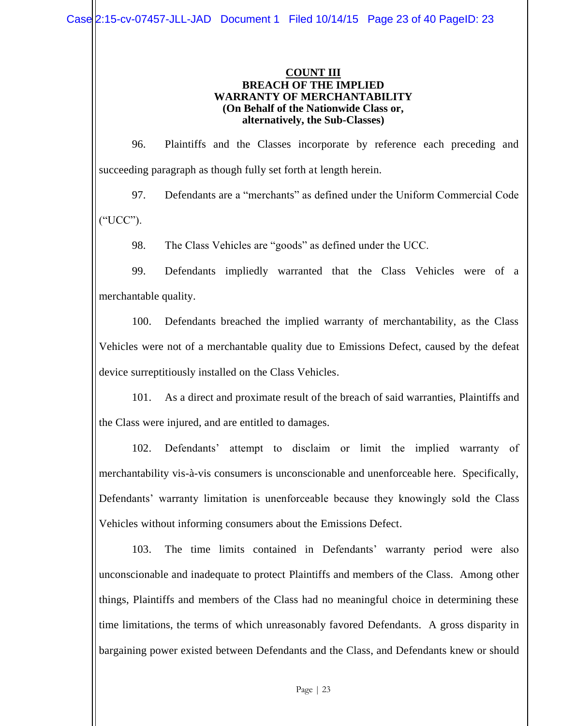### **COUNT III BREACH OF THE IMPLIED WARRANTY OF MERCHANTABILITY (On Behalf of the Nationwide Class or, alternatively, the Sub-Classes)**

96. Plaintiffs and the Classes incorporate by reference each preceding and succeeding paragraph as though fully set forth at length herein.

97. Defendants are a "merchants" as defined under the Uniform Commercial Code ("UCC").

98. The Class Vehicles are "goods" as defined under the UCC.

99. Defendants impliedly warranted that the Class Vehicles were of a merchantable quality.

100. Defendants breached the implied warranty of merchantability, as the Class Vehicles were not of a merchantable quality due to Emissions Defect, caused by the defeat device surreptitiously installed on the Class Vehicles.

101. As a direct and proximate result of the breach of said warranties, Plaintiffs and the Class were injured, and are entitled to damages.

102. Defendants' attempt to disclaim or limit the implied warranty of merchantability vis-à-vis consumers is unconscionable and unenforceable here. Specifically, Defendants' warranty limitation is unenforceable because they knowingly sold the Class Vehicles without informing consumers about the Emissions Defect.

103. The time limits contained in Defendants' warranty period were also unconscionable and inadequate to protect Plaintiffs and members of the Class. Among other things, Plaintiffs and members of the Class had no meaningful choice in determining these time limitations, the terms of which unreasonably favored Defendants. A gross disparity in bargaining power existed between Defendants and the Class, and Defendants knew or should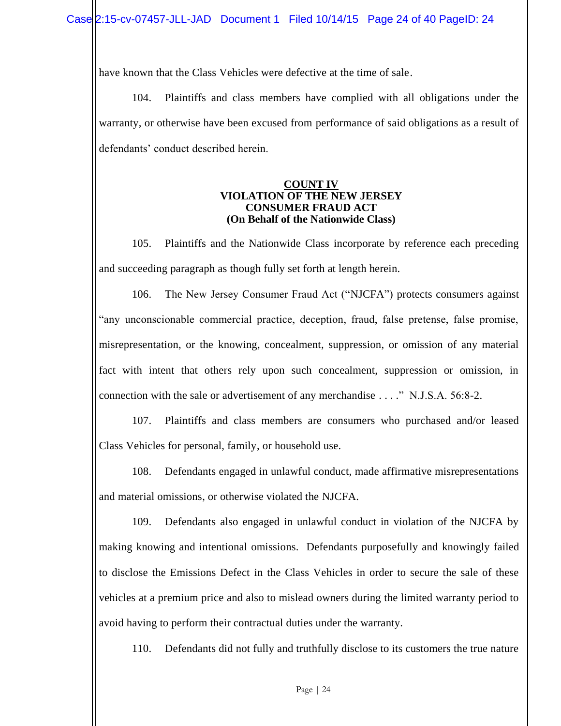have known that the Class Vehicles were defective at the time of sale.

104. Plaintiffs and class members have complied with all obligations under the warranty, or otherwise have been excused from performance of said obligations as a result of defendants' conduct described herein.

#### **COUNT IV VIOLATION OF THE NEW JERSEY CONSUMER FRAUD ACT (On Behalf of the Nationwide Class)**

105. Plaintiffs and the Nationwide Class incorporate by reference each preceding and succeeding paragraph as though fully set forth at length herein.

106. The New Jersey Consumer Fraud Act ("NJCFA") protects consumers against "any unconscionable commercial practice, deception, fraud, false pretense, false promise, misrepresentation, or the knowing, concealment, suppression, or omission of any material fact with intent that others rely upon such concealment, suppression or omission, in connection with the sale or advertisement of any merchandise . . . ." N.J.S.A. 56:8-2.

107. Plaintiffs and class members are consumers who purchased and/or leased Class Vehicles for personal, family, or household use.

108. Defendants engaged in unlawful conduct, made affirmative misrepresentations and material omissions, or otherwise violated the NJCFA.

109. Defendants also engaged in unlawful conduct in violation of the NJCFA by making knowing and intentional omissions. Defendants purposefully and knowingly failed to disclose the Emissions Defect in the Class Vehicles in order to secure the sale of these vehicles at a premium price and also to mislead owners during the limited warranty period to avoid having to perform their contractual duties under the warranty.

110. Defendants did not fully and truthfully disclose to its customers the true nature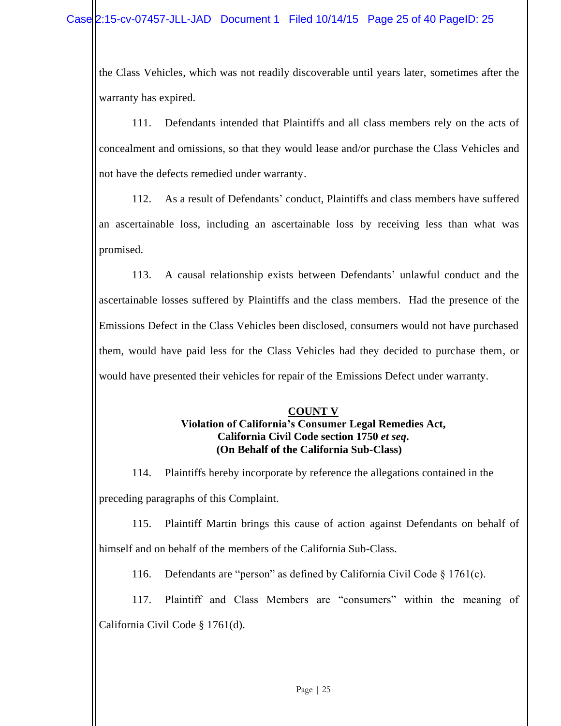the Class Vehicles, which was not readily discoverable until years later, sometimes after the warranty has expired.

111. Defendants intended that Plaintiffs and all class members rely on the acts of concealment and omissions, so that they would lease and/or purchase the Class Vehicles and not have the defects remedied under warranty.

112. As a result of Defendants' conduct, Plaintiffs and class members have suffered an ascertainable loss, including an ascertainable loss by receiving less than what was promised.

113. A causal relationship exists between Defendants' unlawful conduct and the ascertainable losses suffered by Plaintiffs and the class members. Had the presence of the Emissions Defect in the Class Vehicles been disclosed, consumers would not have purchased them, would have paid less for the Class Vehicles had they decided to purchase them, or would have presented their vehicles for repair of the Emissions Defect under warranty.

## **COUNT V Violation of California's Consumer Legal Remedies Act, California Civil Code section 1750** *et seq***. (On Behalf of the California Sub-Class)**

114. Plaintiffs hereby incorporate by reference the allegations contained in the preceding paragraphs of this Complaint.

115. Plaintiff Martin brings this cause of action against Defendants on behalf of himself and on behalf of the members of the California Sub-Class.

116. Defendants are "person" as defined by California Civil Code § 1761(c).

117. Plaintiff and Class Members are "consumers" within the meaning of California Civil Code § 1761(d).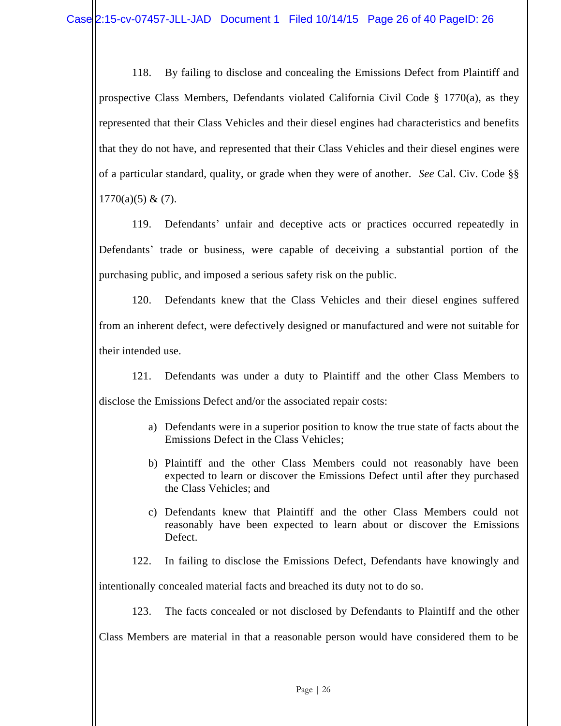118. By failing to disclose and concealing the Emissions Defect from Plaintiff and prospective Class Members, Defendants violated California Civil Code § 1770(a), as they represented that their Class Vehicles and their diesel engines had characteristics and benefits that they do not have, and represented that their Class Vehicles and their diesel engines were of a particular standard, quality, or grade when they were of another. *See* Cal. Civ. Code §§  $1770(a)(5) & (7)$ .

119. Defendants' unfair and deceptive acts or practices occurred repeatedly in Defendants' trade or business, were capable of deceiving a substantial portion of the purchasing public, and imposed a serious safety risk on the public.

120. Defendants knew that the Class Vehicles and their diesel engines suffered from an inherent defect, were defectively designed or manufactured and were not suitable for their intended use.

121. Defendants was under a duty to Plaintiff and the other Class Members to disclose the Emissions Defect and/or the associated repair costs:

- a) Defendants were in a superior position to know the true state of facts about the Emissions Defect in the Class Vehicles;
- b) Plaintiff and the other Class Members could not reasonably have been expected to learn or discover the Emissions Defect until after they purchased the Class Vehicles; and
- c) Defendants knew that Plaintiff and the other Class Members could not reasonably have been expected to learn about or discover the Emissions Defect.
- 122. In failing to disclose the Emissions Defect, Defendants have knowingly and

intentionally concealed material facts and breached its duty not to do so.

123. The facts concealed or not disclosed by Defendants to Plaintiff and the other

Class Members are material in that a reasonable person would have considered them to be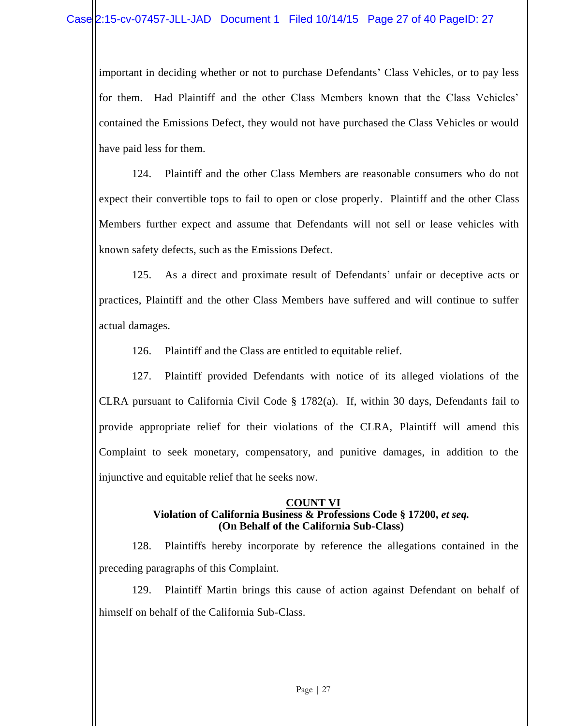important in deciding whether or not to purchase Defendants' Class Vehicles, or to pay less for them. Had Plaintiff and the other Class Members known that the Class Vehicles' contained the Emissions Defect, they would not have purchased the Class Vehicles or would have paid less for them.

124. Plaintiff and the other Class Members are reasonable consumers who do not expect their convertible tops to fail to open or close properly. Plaintiff and the other Class Members further expect and assume that Defendants will not sell or lease vehicles with known safety defects, such as the Emissions Defect.

125. As a direct and proximate result of Defendants' unfair or deceptive acts or practices, Plaintiff and the other Class Members have suffered and will continue to suffer actual damages.

126. Plaintiff and the Class are entitled to equitable relief.

127. Plaintiff provided Defendants with notice of its alleged violations of the CLRA pursuant to California Civil Code § 1782(a). If, within 30 days, Defendants fail to provide appropriate relief for their violations of the CLRA, Plaintiff will amend this Complaint to seek monetary, compensatory, and punitive damages, in addition to the injunctive and equitable relief that he seeks now.

## **COUNT VI Violation of California Business & Professions Code § 17200,** *et seq.* **(On Behalf of the California Sub-Class)**

128. Plaintiffs hereby incorporate by reference the allegations contained in the preceding paragraphs of this Complaint.

129. Plaintiff Martin brings this cause of action against Defendant on behalf of himself on behalf of the California Sub-Class.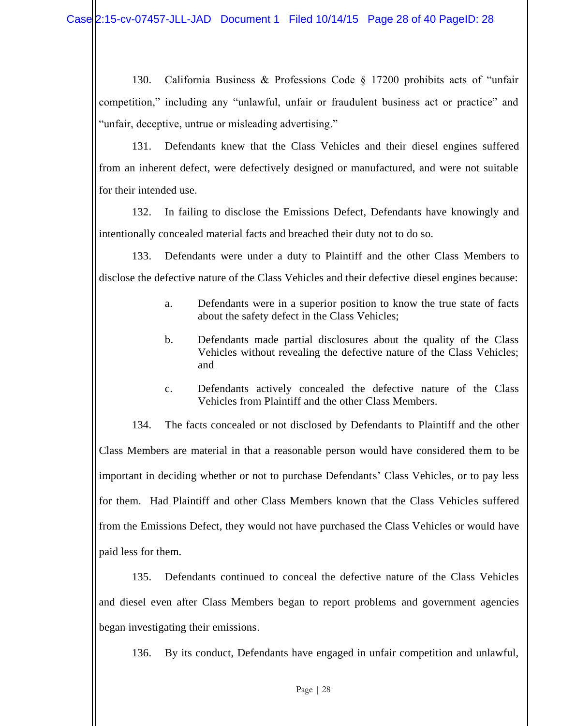130. California Business & Professions Code § 17200 prohibits acts of "unfair competition," including any "unlawful, unfair or fraudulent business act or practice" and "unfair, deceptive, untrue or misleading advertising."

131. Defendants knew that the Class Vehicles and their diesel engines suffered from an inherent defect, were defectively designed or manufactured, and were not suitable for their intended use.

132. In failing to disclose the Emissions Defect, Defendants have knowingly and intentionally concealed material facts and breached their duty not to do so.

133. Defendants were under a duty to Plaintiff and the other Class Members to disclose the defective nature of the Class Vehicles and their defective diesel engines because:

- a. Defendants were in a superior position to know the true state of facts about the safety defect in the Class Vehicles;
- b. Defendants made partial disclosures about the quality of the Class Vehicles without revealing the defective nature of the Class Vehicles; and
- c. Defendants actively concealed the defective nature of the Class Vehicles from Plaintiff and the other Class Members.

134. The facts concealed or not disclosed by Defendants to Plaintiff and the other Class Members are material in that a reasonable person would have considered them to be important in deciding whether or not to purchase Defendants' Class Vehicles, or to pay less for them. Had Plaintiff and other Class Members known that the Class Vehicles suffered from the Emissions Defect, they would not have purchased the Class Vehicles or would have paid less for them.

135. Defendants continued to conceal the defective nature of the Class Vehicles and diesel even after Class Members began to report problems and government agencies began investigating their emissions.

136. By its conduct, Defendants have engaged in unfair competition and unlawful,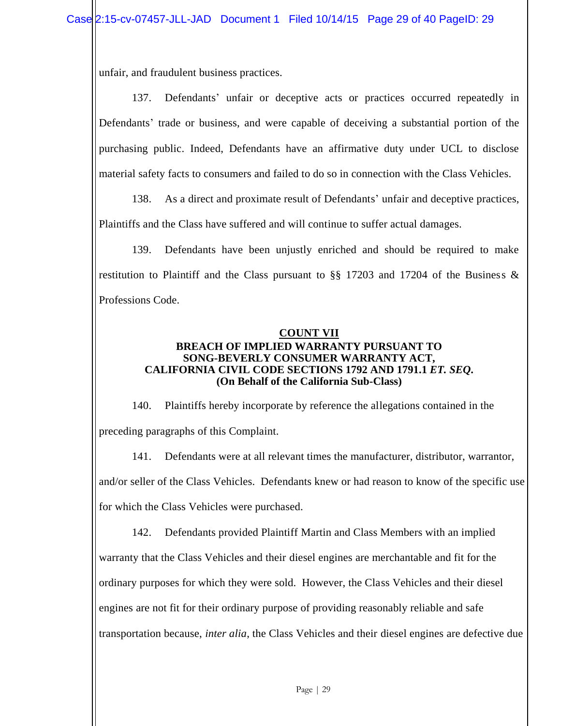unfair, and fraudulent business practices.

137. Defendants' unfair or deceptive acts or practices occurred repeatedly in Defendants' trade or business, and were capable of deceiving a substantial portion of the purchasing public. Indeed, Defendants have an affirmative duty under UCL to disclose material safety facts to consumers and failed to do so in connection with the Class Vehicles.

138. As a direct and proximate result of Defendants' unfair and deceptive practices, Plaintiffs and the Class have suffered and will continue to suffer actual damages.

139. Defendants have been unjustly enriched and should be required to make restitution to Plaintiff and the Class pursuant to  $\S$ § 17203 and 17204 of the Business  $\&$ Professions Code.

### **COUNT VII BREACH OF IMPLIED WARRANTY PURSUANT TO SONG-BEVERLY CONSUMER WARRANTY ACT, CALIFORNIA CIVIL CODE SECTIONS 1792 AND 1791.1** *ET. SEQ***. (On Behalf of the California Sub-Class)**

140. Plaintiffs hereby incorporate by reference the allegations contained in the preceding paragraphs of this Complaint.

141. Defendants were at all relevant times the manufacturer, distributor, warrantor, and/or seller of the Class Vehicles. Defendants knew or had reason to know of the specific use for which the Class Vehicles were purchased.

142. Defendants provided Plaintiff Martin and Class Members with an implied warranty that the Class Vehicles and their diesel engines are merchantable and fit for the ordinary purposes for which they were sold. However, the Class Vehicles and their diesel engines are not fit for their ordinary purpose of providing reasonably reliable and safe transportation because, *inter alia*, the Class Vehicles and their diesel engines are defective due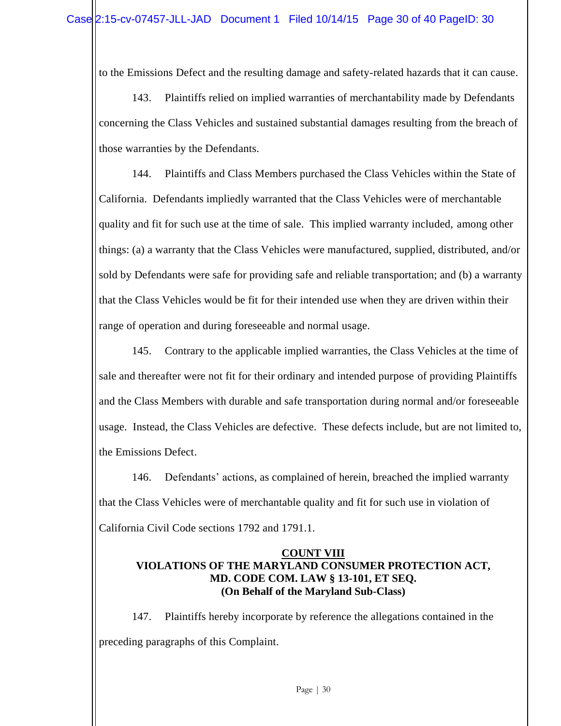to the Emissions Defect and the resulting damage and safety-related hazards that it can cause.

143. Plaintiffs relied on implied warranties of merchantability made by Defendants concerning the Class Vehicles and sustained substantial damages resulting from the breach of those warranties by the Defendants.

144. Plaintiffs and Class Members purchased the Class Vehicles within the State of California. Defendants impliedly warranted that the Class Vehicles were of merchantable quality and fit for such use at the time of sale. This implied warranty included, among other things: (a) a warranty that the Class Vehicles were manufactured, supplied, distributed, and/or sold by Defendants were safe for providing safe and reliable transportation; and (b) a warranty that the Class Vehicles would be fit for their intended use when they are driven within their range of operation and during foreseeable and normal usage.

145. Contrary to the applicable implied warranties, the Class Vehicles at the time of sale and thereafter were not fit for their ordinary and intended purpose of providing Plaintiffs and the Class Members with durable and safe transportation during normal and/or foreseeable usage. Instead, the Class Vehicles are defective. These defects include, but are not limited to, the Emissions Defect.

146. Defendants' actions, as complained of herein, breached the implied warranty that the Class Vehicles were of merchantable quality and fit for such use in violation of California Civil Code sections 1792 and 1791.1.

## **COUNT VIII VIOLATIONS OF THE MARYLAND CONSUMER PROTECTION ACT, MD. CODE COM. LAW § 13-101, ET SEQ. (On Behalf of the Maryland Sub-Class)**

147. Plaintiffs hereby incorporate by reference the allegations contained in the preceding paragraphs of this Complaint.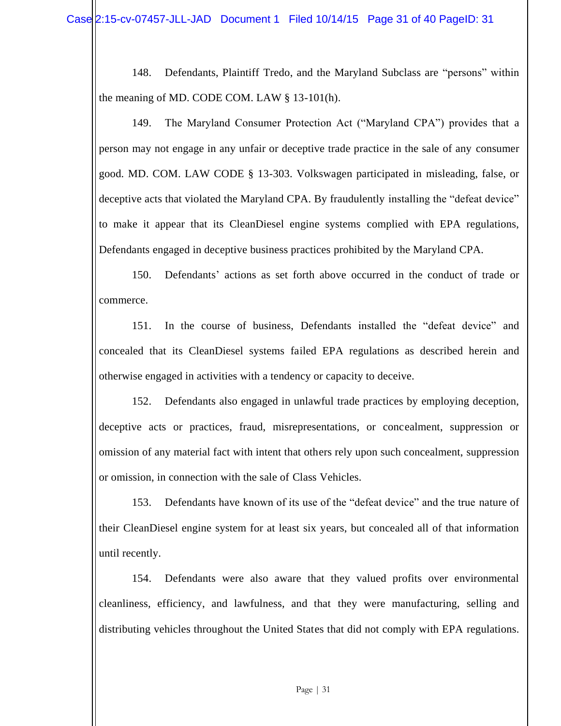148. Defendants, Plaintiff Tredo, and the Maryland Subclass are "persons" within the meaning of MD. CODE COM. LAW § 13-101(h).

149. The Maryland Consumer Protection Act ("Maryland CPA") provides that a person may not engage in any unfair or deceptive trade practice in the sale of any consumer good. MD. COM. LAW CODE § 13-303. Volkswagen participated in misleading, false, or deceptive acts that violated the Maryland CPA. By fraudulently installing the "defeat device" to make it appear that its CleanDiesel engine systems complied with EPA regulations, Defendants engaged in deceptive business practices prohibited by the Maryland CPA.

150. Defendants' actions as set forth above occurred in the conduct of trade or commerce.

151. In the course of business, Defendants installed the "defeat device" and concealed that its CleanDiesel systems failed EPA regulations as described herein and otherwise engaged in activities with a tendency or capacity to deceive.

152. Defendants also engaged in unlawful trade practices by employing deception, deceptive acts or practices, fraud, misrepresentations, or concealment, suppression or omission of any material fact with intent that others rely upon such concealment, suppression or omission, in connection with the sale of Class Vehicles.

153. Defendants have known of its use of the "defeat device" and the true nature of their CleanDiesel engine system for at least six years, but concealed all of that information until recently.

154. Defendants were also aware that they valued profits over environmental cleanliness, efficiency, and lawfulness, and that they were manufacturing, selling and distributing vehicles throughout the United States that did not comply with EPA regulations.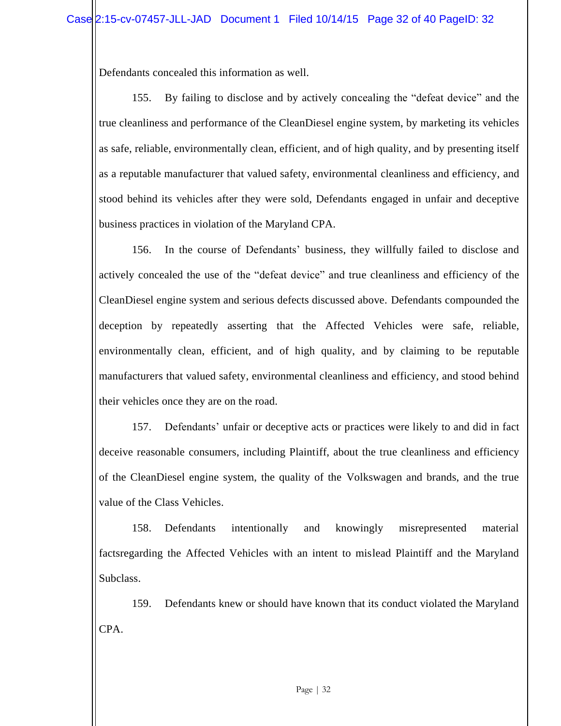Defendants concealed this information as well.

155. By failing to disclose and by actively concealing the "defeat device" and the true cleanliness and performance of the CleanDiesel engine system, by marketing its vehicles as safe, reliable, environmentally clean, efficient, and of high quality, and by presenting itself as a reputable manufacturer that valued safety, environmental cleanliness and efficiency, and stood behind its vehicles after they were sold, Defendants engaged in unfair and deceptive business practices in violation of the Maryland CPA.

156. In the course of Defendants' business, they willfully failed to disclose and actively concealed the use of the "defeat device" and true cleanliness and efficiency of the CleanDiesel engine system and serious defects discussed above. Defendants compounded the deception by repeatedly asserting that the Affected Vehicles were safe, reliable, environmentally clean, efficient, and of high quality, and by claiming to be reputable manufacturers that valued safety, environmental cleanliness and efficiency, and stood behind their vehicles once they are on the road.

157. Defendants' unfair or deceptive acts or practices were likely to and did in fact deceive reasonable consumers, including Plaintiff, about the true cleanliness and efficiency of the CleanDiesel engine system, the quality of the Volkswagen and brands, and the true value of the Class Vehicles.

158. Defendants intentionally and knowingly misrepresented material factsregarding the Affected Vehicles with an intent to mislead Plaintiff and the Maryland Subclass.

159. Defendants knew or should have known that its conduct violated the Maryland CPA.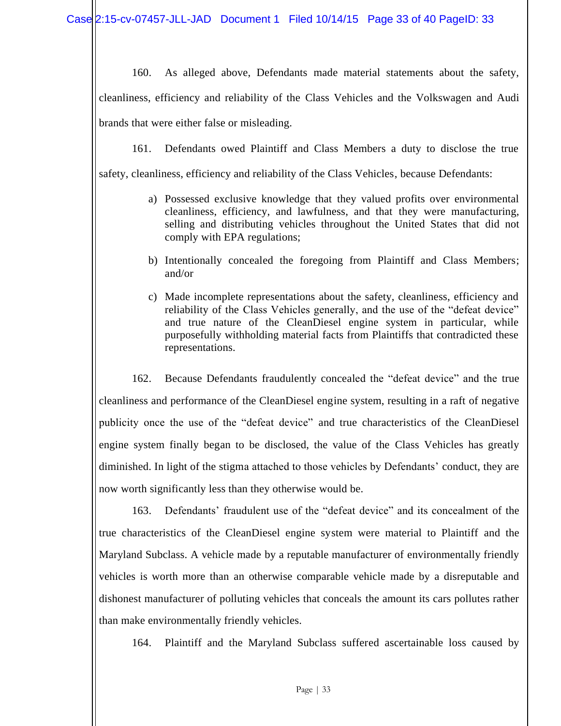160. As alleged above, Defendants made material statements about the safety, cleanliness, efficiency and reliability of the Class Vehicles and the Volkswagen and Audi brands that were either false or misleading.

161. Defendants owed Plaintiff and Class Members a duty to disclose the true

safety, cleanliness, efficiency and reliability of the Class Vehicles, because Defendants:

- a) Possessed exclusive knowledge that they valued profits over environmental cleanliness, efficiency, and lawfulness, and that they were manufacturing, selling and distributing vehicles throughout the United States that did not comply with EPA regulations;
- b) Intentionally concealed the foregoing from Plaintiff and Class Members; and/or
- c) Made incomplete representations about the safety, cleanliness, efficiency and reliability of the Class Vehicles generally, and the use of the "defeat device" and true nature of the CleanDiesel engine system in particular, while purposefully withholding material facts from Plaintiffs that contradicted these representations.

162. Because Defendants fraudulently concealed the "defeat device" and the true cleanliness and performance of the CleanDiesel engine system, resulting in a raft of negative publicity once the use of the "defeat device" and true characteristics of the CleanDiesel engine system finally began to be disclosed, the value of the Class Vehicles has greatly diminished. In light of the stigma attached to those vehicles by Defendants' conduct, they are now worth significantly less than they otherwise would be.

163. Defendants' fraudulent use of the "defeat device" and its concealment of the true characteristics of the CleanDiesel engine system were material to Plaintiff and the Maryland Subclass. A vehicle made by a reputable manufacturer of environmentally friendly vehicles is worth more than an otherwise comparable vehicle made by a disreputable and dishonest manufacturer of polluting vehicles that conceals the amount its cars pollutes rather than make environmentally friendly vehicles.

164. Plaintiff and the Maryland Subclass suffered ascertainable loss caused by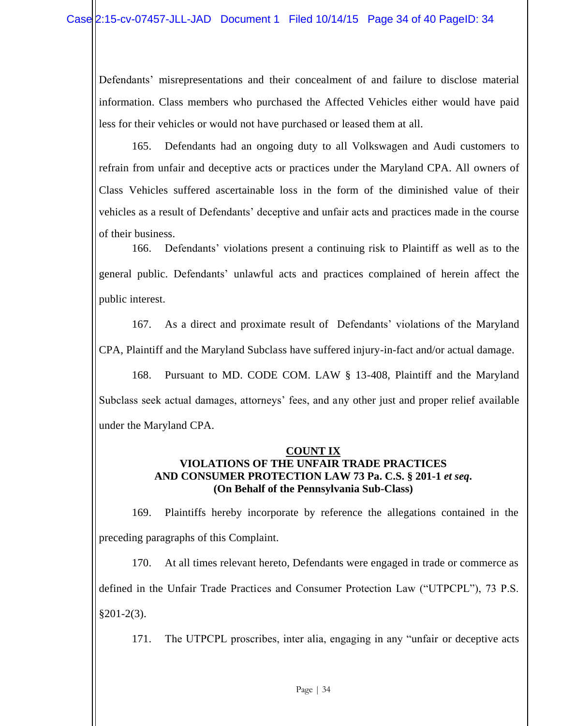Defendants' misrepresentations and their concealment of and failure to disclose material information. Class members who purchased the Affected Vehicles either would have paid less for their vehicles or would not have purchased or leased them at all.

165. Defendants had an ongoing duty to all Volkswagen and Audi customers to refrain from unfair and deceptive acts or practices under the Maryland CPA. All owners of Class Vehicles suffered ascertainable loss in the form of the diminished value of their vehicles as a result of Defendants' deceptive and unfair acts and practices made in the course of their business.

166. Defendants' violations present a continuing risk to Plaintiff as well as to the general public. Defendants' unlawful acts and practices complained of herein affect the public interest.

167. As a direct and proximate result of Defendants' violations of the Maryland CPA, Plaintiff and the Maryland Subclass have suffered injury-in-fact and/or actual damage.

168. Pursuant to MD. CODE COM. LAW § 13-408, Plaintiff and the Maryland Subclass seek actual damages, attorneys' fees, and any other just and proper relief available under the Maryland CPA.

## **COUNT IX VIOLATIONS OF THE UNFAIR TRADE PRACTICES AND CONSUMER PROTECTION LAW 73 Pa. C.S. § 201-1** *et seq***. (On Behalf of the Pennsylvania Sub-Class)**

169. Plaintiffs hereby incorporate by reference the allegations contained in the preceding paragraphs of this Complaint.

170. At all times relevant hereto, Defendants were engaged in trade or commerce as defined in the Unfair Trade Practices and Consumer Protection Law ("UTPCPL"), 73 P.S.  $§201-2(3).$ 

171. The UTPCPL proscribes, inter alia, engaging in any "unfair or deceptive acts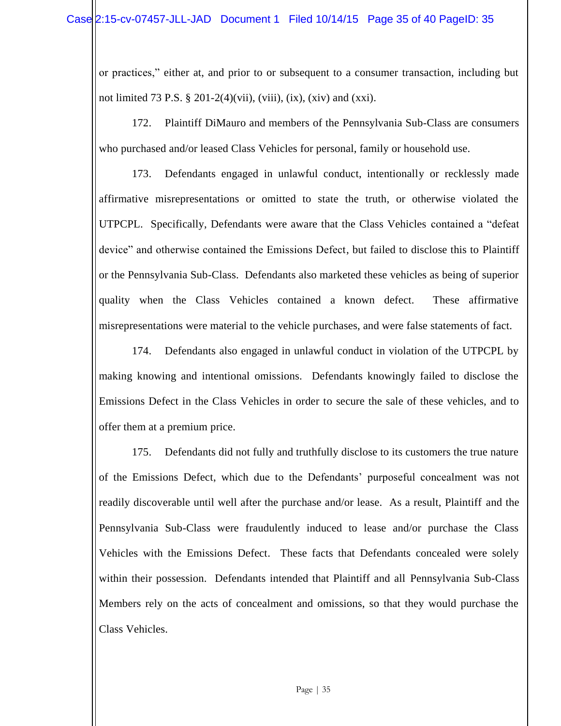or practices," either at, and prior to or subsequent to a consumer transaction, including but not limited 73 P.S.  $\S 201-2(4)$ (vii), (viii), (ix), (xiv) and (xxi).

172. Plaintiff DiMauro and members of the Pennsylvania Sub-Class are consumers who purchased and/or leased Class Vehicles for personal, family or household use.

173. Defendants engaged in unlawful conduct, intentionally or recklessly made affirmative misrepresentations or omitted to state the truth, or otherwise violated the UTPCPL. Specifically, Defendants were aware that the Class Vehicles contained a "defeat device" and otherwise contained the Emissions Defect, but failed to disclose this to Plaintiff or the Pennsylvania Sub-Class. Defendants also marketed these vehicles as being of superior quality when the Class Vehicles contained a known defect. These affirmative misrepresentations were material to the vehicle purchases, and were false statements of fact.

174. Defendants also engaged in unlawful conduct in violation of the UTPCPL by making knowing and intentional omissions. Defendants knowingly failed to disclose the Emissions Defect in the Class Vehicles in order to secure the sale of these vehicles, and to offer them at a premium price.

175. Defendants did not fully and truthfully disclose to its customers the true nature of the Emissions Defect, which due to the Defendants' purposeful concealment was not readily discoverable until well after the purchase and/or lease. As a result, Plaintiff and the Pennsylvania Sub-Class were fraudulently induced to lease and/or purchase the Class Vehicles with the Emissions Defect. These facts that Defendants concealed were solely within their possession. Defendants intended that Plaintiff and all Pennsylvania Sub-Class Members rely on the acts of concealment and omissions, so that they would purchase the Class Vehicles.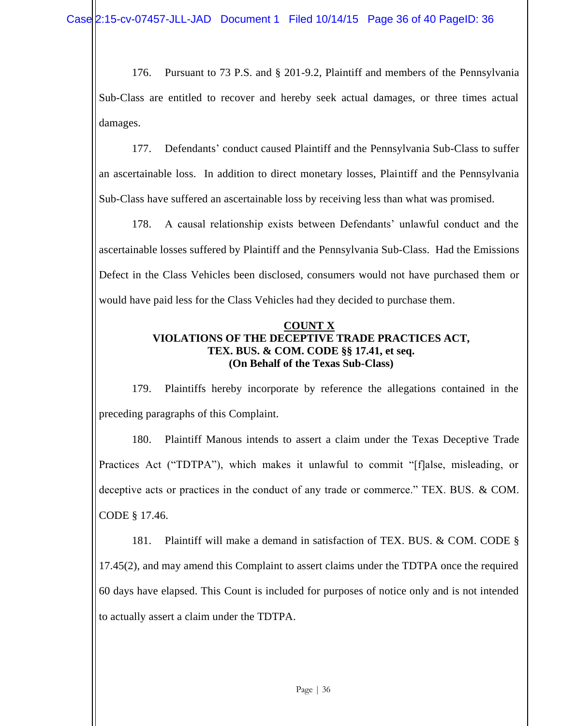176. Pursuant to 73 P.S. and § 201-9.2, Plaintiff and members of the Pennsylvania Sub-Class are entitled to recover and hereby seek actual damages, or three times actual damages.

177. Defendants' conduct caused Plaintiff and the Pennsylvania Sub-Class to suffer an ascertainable loss. In addition to direct monetary losses, Plaintiff and the Pennsylvania Sub-Class have suffered an ascertainable loss by receiving less than what was promised.

178. A causal relationship exists between Defendants' unlawful conduct and the ascertainable losses suffered by Plaintiff and the Pennsylvania Sub-Class. Had the Emissions Defect in the Class Vehicles been disclosed, consumers would not have purchased them or would have paid less for the Class Vehicles had they decided to purchase them.

## **COUNT X VIOLATIONS OF THE DECEPTIVE TRADE PRACTICES ACT, TEX. BUS. & COM. CODE §§ 17.41, et seq. (On Behalf of the Texas Sub-Class)**

179. Plaintiffs hereby incorporate by reference the allegations contained in the preceding paragraphs of this Complaint.

180. Plaintiff Manous intends to assert a claim under the Texas Deceptive Trade Practices Act ("TDTPA"), which makes it unlawful to commit "[f]alse, misleading, or deceptive acts or practices in the conduct of any trade or commerce." TEX. BUS. & COM. CODE § 17.46.

181. Plaintiff will make a demand in satisfaction of TEX. BUS. & COM. CODE § 17.45(2), and may amend this Complaint to assert claims under the TDTPA once the required 60 days have elapsed. This Count is included for purposes of notice only and is not intended to actually assert a claim under the TDTPA.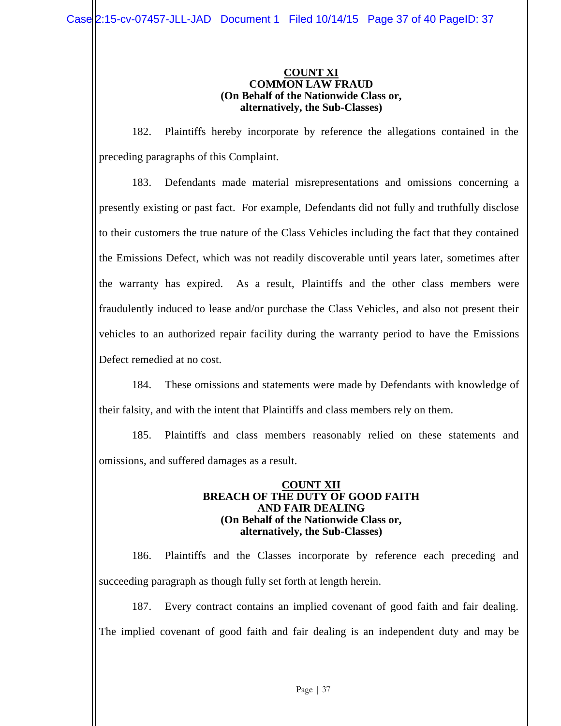#### **COUNT XI COMMON LAW FRAUD (On Behalf of the Nationwide Class or, alternatively, the Sub-Classes)**

182. Plaintiffs hereby incorporate by reference the allegations contained in the preceding paragraphs of this Complaint.

183. Defendants made material misrepresentations and omissions concerning a presently existing or past fact. For example, Defendants did not fully and truthfully disclose to their customers the true nature of the Class Vehicles including the fact that they contained the Emissions Defect, which was not readily discoverable until years later, sometimes after the warranty has expired. As a result, Plaintiffs and the other class members were fraudulently induced to lease and/or purchase the Class Vehicles, and also not present their vehicles to an authorized repair facility during the warranty period to have the Emissions Defect remedied at no cost.

184. These omissions and statements were made by Defendants with knowledge of their falsity, and with the intent that Plaintiffs and class members rely on them.

185. Plaintiffs and class members reasonably relied on these statements and omissions, and suffered damages as a result.

#### **COUNT XII BREACH OF THE DUTY OF GOOD FAITH AND FAIR DEALING (On Behalf of the Nationwide Class or, alternatively, the Sub-Classes)**

186. Plaintiffs and the Classes incorporate by reference each preceding and succeeding paragraph as though fully set forth at length herein.

187. Every contract contains an implied covenant of good faith and fair dealing. The implied covenant of good faith and fair dealing is an independent duty and may be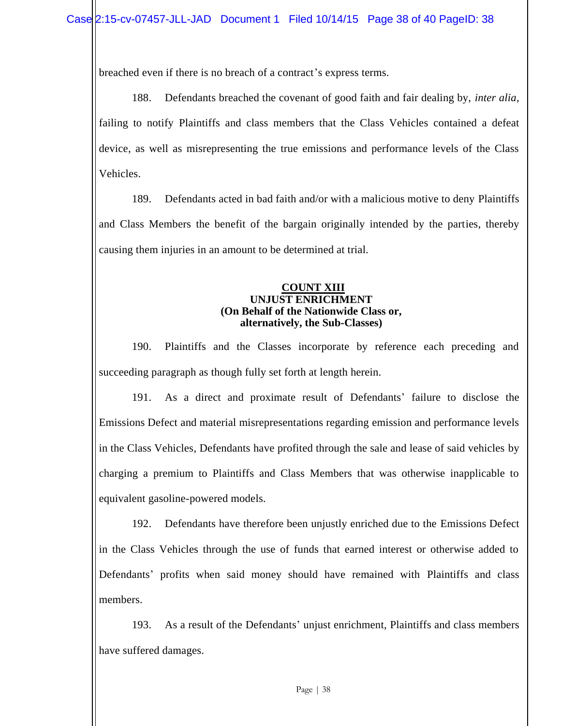breached even if there is no breach of a contract's express terms.

188. Defendants breached the covenant of good faith and fair dealing by, *inter alia*, failing to notify Plaintiffs and class members that the Class Vehicles contained a defeat device, as well as misrepresenting the true emissions and performance levels of the Class Vehicles.

189. Defendants acted in bad faith and/or with a malicious motive to deny Plaintiffs and Class Members the benefit of the bargain originally intended by the parties, thereby causing them injuries in an amount to be determined at trial.

## **COUNT XIII UNJUST ENRICHMENT (On Behalf of the Nationwide Class or, alternatively, the Sub-Classes)**

190. Plaintiffs and the Classes incorporate by reference each preceding and succeeding paragraph as though fully set forth at length herein.

191. As a direct and proximate result of Defendants' failure to disclose the Emissions Defect and material misrepresentations regarding emission and performance levels in the Class Vehicles, Defendants have profited through the sale and lease of said vehicles by charging a premium to Plaintiffs and Class Members that was otherwise inapplicable to equivalent gasoline-powered models.

192. Defendants have therefore been unjustly enriched due to the Emissions Defect in the Class Vehicles through the use of funds that earned interest or otherwise added to Defendants' profits when said money should have remained with Plaintiffs and class members.

193. As a result of the Defendants' unjust enrichment, Plaintiffs and class members have suffered damages.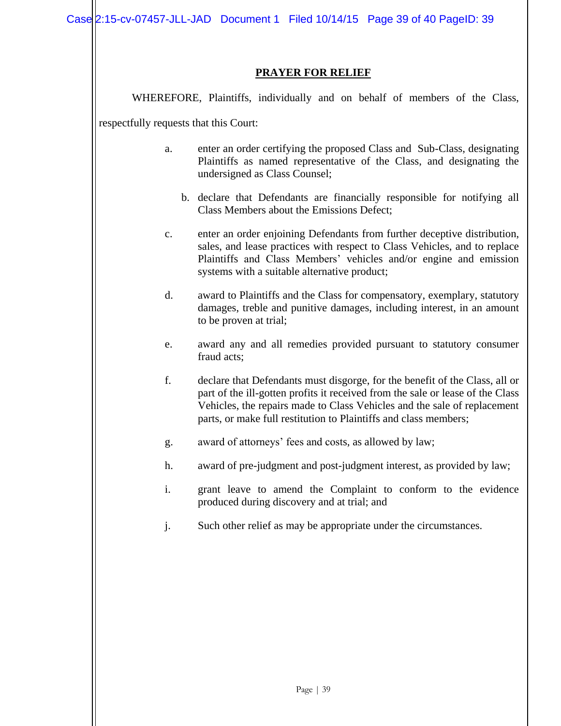## **PRAYER FOR RELIEF**

WHEREFORE, Plaintiffs, individually and on behalf of members of the Class,

respectfully requests that this Court:

- a. enter an order certifying the proposed Class and Sub-Class, designating Plaintiffs as named representative of the Class, and designating the undersigned as Class Counsel;
	- b. declare that Defendants are financially responsible for notifying all Class Members about the Emissions Defect;
- c. enter an order enjoining Defendants from further deceptive distribution, sales, and lease practices with respect to Class Vehicles, and to replace Plaintiffs and Class Members' vehicles and/or engine and emission systems with a suitable alternative product;
- d. award to Plaintiffs and the Class for compensatory, exemplary, statutory damages, treble and punitive damages, including interest, in an amount to be proven at trial;
- e. award any and all remedies provided pursuant to statutory consumer fraud acts;
- f. declare that Defendants must disgorge, for the benefit of the Class, all or part of the ill-gotten profits it received from the sale or lease of the Class Vehicles, the repairs made to Class Vehicles and the sale of replacement parts, or make full restitution to Plaintiffs and class members;
- g. award of attorneys' fees and costs, as allowed by law;
- h. award of pre-judgment and post-judgment interest, as provided by law;
- i. grant leave to amend the Complaint to conform to the evidence produced during discovery and at trial; and
- j. Such other relief as may be appropriate under the circumstances.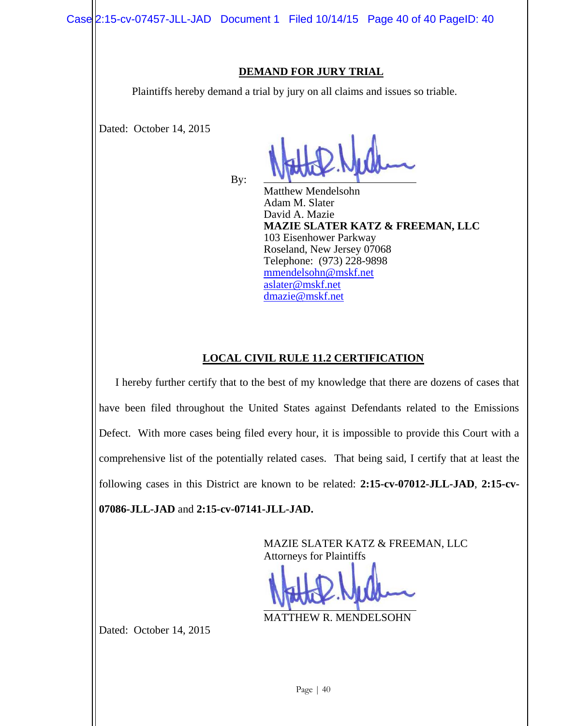## **DEMAND FOR JURY TRIAL**

Plaintiffs hereby demand a trial by jury on all claims and issues so triable.

Dated: October 14, 2015

By:

Matthew Mendelsohn Adam M. Slater David A. Mazie **MAZIE SLATER KATZ & FREEMAN, LLC** 103 Eisenhower Parkway Roseland, New Jersey 07068 Telephone: (973) 228-9898 [mmendelsohn@mskf.net](mailto:mmendelsohn@mskf.net) [aslater@mskf.net](mailto:aslater@mskf.net) [dmazie@mskf.net](mailto:dmazie@mskf.net)

# **LOCAL CIVIL RULE 11.2 CERTIFICATION**

I hereby further certify that to the best of my knowledge that there are dozens of cases that have been filed throughout the United States against Defendants related to the Emissions Defect. With more cases being filed every hour, it is impossible to provide this Court with a comprehensive list of the potentially related cases. That being said, I certify that at least the following cases in this District are known to be related: **2:15-cv-07012-JLL-JAD**, **2:15-cv-07086-JLL-JAD** and **2:15-cv-07141-JLL-JAD.**

> MAZIE SLATER KATZ & FREEMAN, LLC Attorneys for Plaintiffs

MATTHEW R. MENDELSOHN

Dated: October 14, 2015